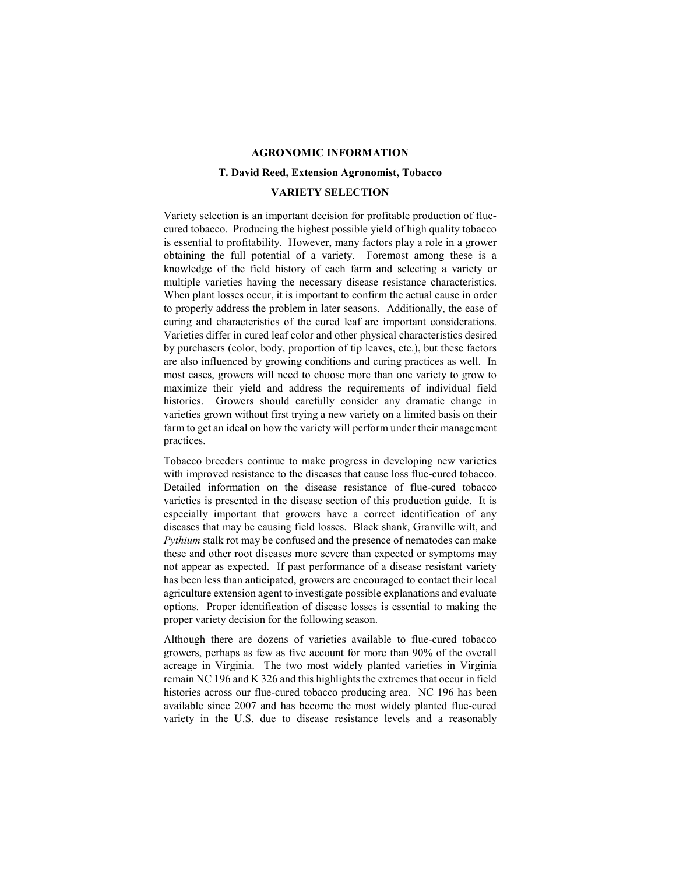### **AGRONOMIC INFORMATION**

#### **T. David Reed, Extension Agronomist, Tobacco**

### **VARIETY SELECTION**

Variety selection is an important decision for profitable production of fluecured tobacco. Producing the highest possible yield of high quality tobacco is essential to profitability. However, many factors play a role in a grower obtaining the full potential of a variety. Foremost among these is a knowledge of the field history of each farm and selecting a variety or multiple varieties having the necessary disease resistance characteristics. When plant losses occur, it is important to confirm the actual cause in order to properly address the problem in later seasons. Additionally, the ease of curing and characteristics of the cured leaf are important considerations. Varieties differ in cured leaf color and other physical characteristics desired by purchasers (color, body, proportion of tip leaves, etc.), but these factors are also influenced by growing conditions and curing practices as well. In most cases, growers will need to choose more than one variety to grow to maximize their yield and address the requirements of individual field histories. Growers should carefully consider any dramatic change in varieties grown without first trying a new variety on a limited basis on their farm to get an ideal on how the variety will perform under their management practices.

Tobacco breeders continue to make progress in developing new varieties with improved resistance to the diseases that cause loss flue-cured tobacco. Detailed information on the disease resistance of flue-cured tobacco varieties is presented in the disease section of this production guide. It is especially important that growers have a correct identification of any diseases that may be causing field losses. Black shank, Granville wilt, and *Pythium* stalk rot may be confused and the presence of nematodes can make these and other root diseases more severe than expected or symptoms may not appear as expected. If past performance of a disease resistant variety has been less than anticipated, growers are encouraged to contact their local agriculture extension agent to investigate possible explanations and evaluate options. Proper identification of disease losses is essential to making the proper variety decision for the following season.

Although there are dozens of varieties available to flue-cured tobacco growers, perhaps as few as five account for more than 90% of the overall acreage in Virginia. The two most widely planted varieties in Virginia remain NC 196 and K 326 and this highlights the extremes that occur in field histories across our flue-cured tobacco producing area. NC 196 has been available since 2007 and has become the most widely planted flue-cured variety in the U.S. due to disease resistance levels and a reasonably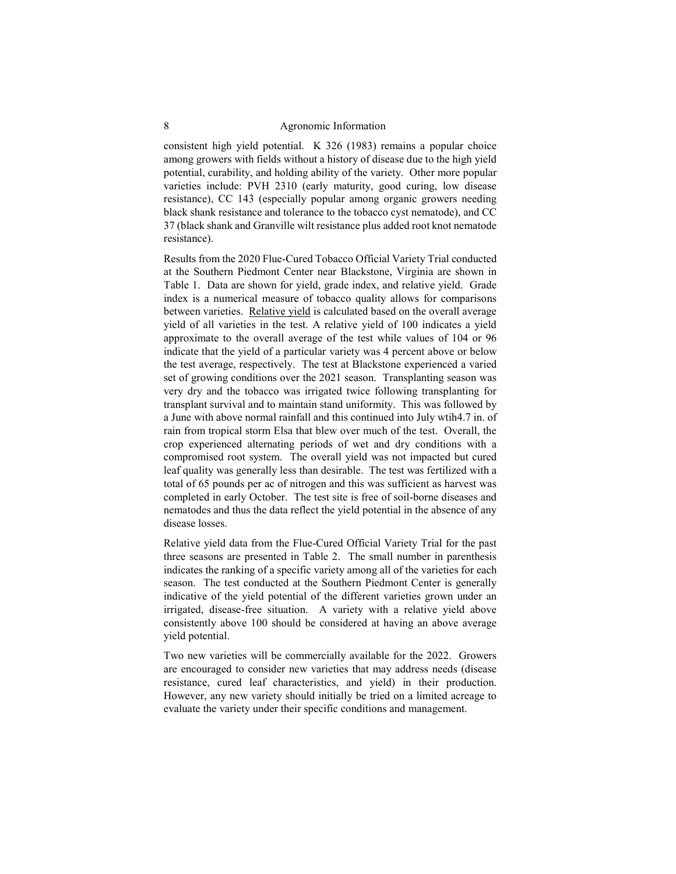consistent high yield potential. K 326 (1983) remains a popular choice among growers with fields without a history of disease due to the high yield potential, curability, and holding ability of the variety. Other more popular varieties include: PVH 2310 (early maturity, good curing, low disease resistance), CC 143 (especially popular among organic growers needing black shank resistance and tolerance to the tobacco cyst nematode), and CC 37 (black shank and Granville wilt resistance plus added root knot nematode resistance).

Results from the 2020 Flue-Cured Tobacco Official Variety Trial conducted at the Southern Piedmont Center near Blackstone, Virginia are shown in Table 1. Data are shown for yield, grade index, and relative yield. Grade index is a numerical measure of tobacco quality allows for comparisons between varieties. Relative yield is calculated based on the overall average yield of all varieties in the test. A relative yield of 100 indicates a yield approximate to the overall average of the test while values of 104 or 96 indicate that the yield of a particular variety was 4 percent above or below the test average, respectively. The test at Blackstone experienced a varied set of growing conditions over the 2021 season. Transplanting season was very dry and the tobacco was irrigated twice following transplanting for transplant survival and to maintain stand uniformity. This was followed by a June with above normal rainfall and this continued into July wtih4.7 in. of rain from tropical storm Elsa that blew over much of the test. Overall, the crop experienced alternating periods of wet and dry conditions with a compromised root system. The overall yield was not impacted but cured leaf quality was generally less than desirable. The test was fertilized with a total of 65 pounds per ac of nitrogen and this was sufficient as harvest was completed in early October. The test site is free of soil-borne diseases and nematodes and thus the data reflect the yield potential in the absence of any disease losses.

Relative yield data from the Flue-Cured Official Variety Trial for the past three seasons are presented in Table 2. The small number in parenthesis indicates the ranking of a specific variety among all of the varieties for each season. The test conducted at the Southern Piedmont Center is generally indicative of the yield potential of the different varieties grown under an irrigated, disease-free situation. A variety with a relative yield above consistently above 100 should be considered at having an above average yield potential.

Two new varieties will be commercially available for the 2022. Growers are encouraged to consider new varieties that may address needs (disease resistance, cured leaf characteristics, and yield) in their production. However, any new variety should initially be tried on a limited acreage to evaluate the variety under their specific conditions and management.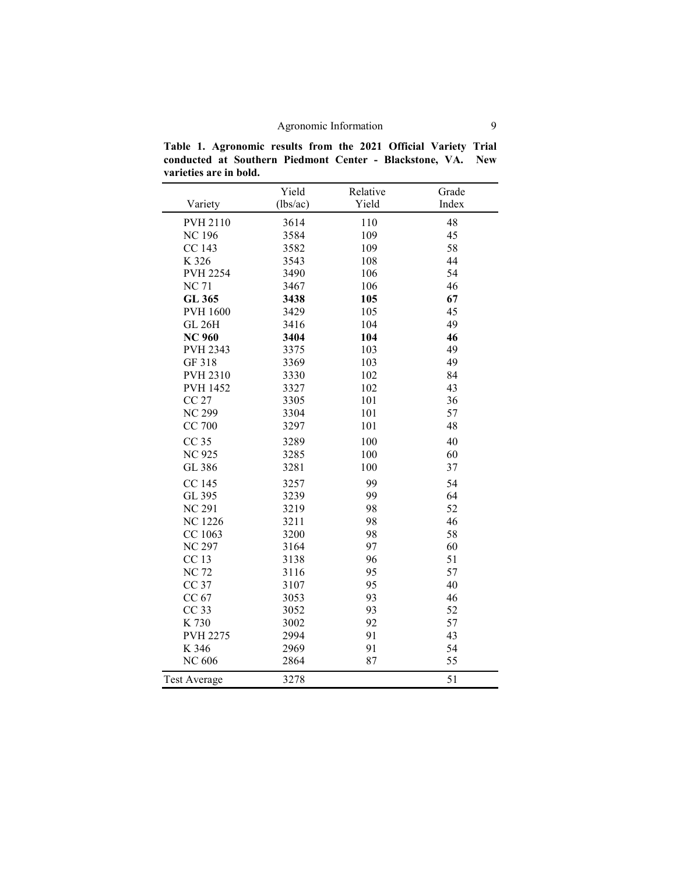**Table 1. Agronomic results from the 2021 Official Variety Trial conducted at Southern Piedmont Center - Blackstone, VA. New varieties are in bold.** 

|                     | Yield    | Relative | Grade |
|---------------------|----------|----------|-------|
| Variety             | (lbs/ac) | Yield    | Index |
| <b>PVH 2110</b>     | 3614     | 110      | 48    |
| <b>NC196</b>        | 3584     | 109      | 45    |
| CC 143              | 3582     | 109      | 58    |
| K 326               | 3543     | 108      | 44    |
| <b>PVH 2254</b>     | 3490     | 106      | 54    |
| <b>NC71</b>         | 3467     | 106      | 46    |
| GL 365              | 3438     | 105      | 67    |
| <b>PVH 1600</b>     | 3429     | 105      | 45    |
| <b>GL 26H</b>       | 3416     | 104      | 49    |
| <b>NC 960</b>       | 3404     | 104      | 46    |
| <b>PVH 2343</b>     | 3375     | 103      | 49    |
| GF 318              | 3369     | 103      | 49    |
| PVH 2310            | 3330     | 102      | 84    |
| <b>PVH 1452</b>     | 3327     | 102      | 43    |
| <b>CC 27</b>        | 3305     | 101      | 36    |
| <b>NC 299</b>       | 3304     | 101      | 57    |
| <b>CC 700</b>       | 3297     | 101      | 48    |
| CC <sub>35</sub>    | 3289     | 100      | 40    |
| <b>NC 925</b>       | 3285     | 100      | 60    |
| GL 386              | 3281     | 100      | 37    |
| CC 145              | 3257     | 99       | 54    |
| GL 395              | 3239     | 99       | 64    |
| <b>NC 291</b>       | 3219     | 98       | 52    |
| <b>NC</b> 1226      | 3211     | 98       | 46    |
| CC 1063             | 3200     | 98       | 58    |
| <b>NC 297</b>       | 3164     | 97       | 60    |
| CC 13               | 3138     | 96       | 51    |
| <b>NC72</b>         | 3116     | 95       | 57    |
| CC 37               | 3107     | 95       | 40    |
| CC 67               | 3053     | 93       | 46    |
| CC 33               | 3052     | 93       | 52    |
| K 730               | 3002     | 92       | 57    |
| <b>PVH 2275</b>     | 2994     | 91       | 43    |
| K 346               | 2969     | 91       | 54    |
| <b>NC 606</b>       | 2864     | 87       | 55    |
| <b>Test Average</b> | 3278     |          | 51    |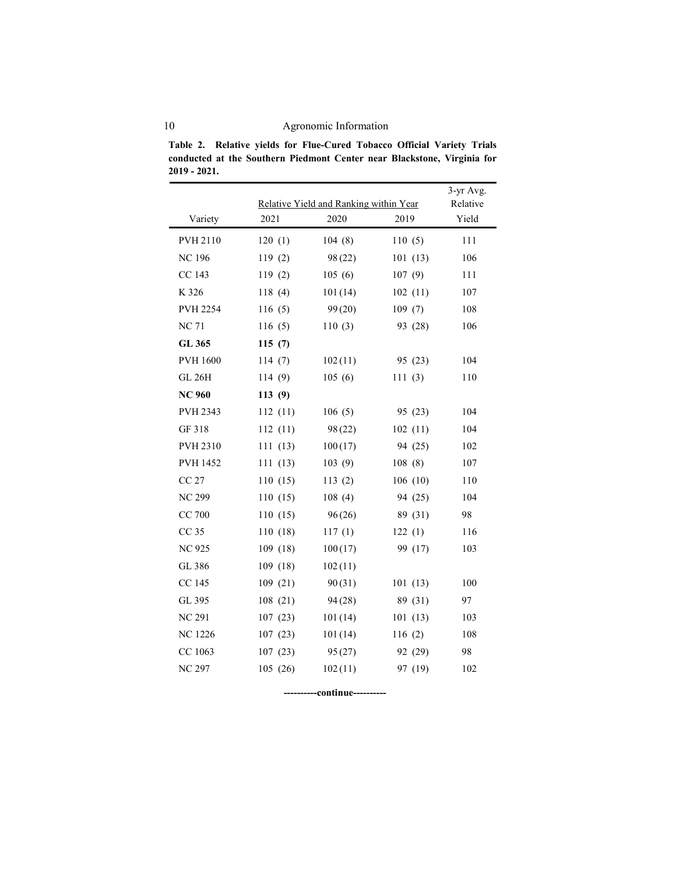10 Agronomic Information

**Table 2. Relative yields for Flue-Cured Tobacco Official Variety Trials conducted at the Southern Piedmont Center near Blackstone, Virginia for 2019 - 2021.**

|                 |          |                                                |         | 3-yr Avg.<br>Relative |
|-----------------|----------|------------------------------------------------|---------|-----------------------|
| Variety         | 2021     | Relative Yield and Ranking within Year<br>2020 | 2019    | Yield                 |
| PVH 2110        | 120(1)   | 104(8)                                         | 110(5)  | 111                   |
| <b>NC 196</b>   | 119(2)   | 98(22)                                         | 101(13) | 106                   |
| CC 143          | 119(2)   | 105(6)                                         | 107(9)  | 111                   |
| K 326           | 118(4)   | 101(14)                                        | 102(11) | 107                   |
| <b>PVH 2254</b> | 116(5)   | 99(20)                                         | 109(7)  | 108                   |
| <b>NC71</b>     | 116(5)   | 110(3)                                         | 93 (28) | 106                   |
| GL 365          | 115(7)   |                                                |         |                       |
| <b>PVH 1600</b> | 114(7)   | 102(11)                                        | 95 (23) | 104                   |
| <b>GL 26H</b>   | 114 (9)  | 105(6)                                         | 111(3)  | 110                   |
| <b>NC 960</b>   | 113(9)   |                                                |         |                       |
| PVH 2343        | 112(11)  | 106(5)                                         | 95 (23) | 104                   |
| GF 318          | 112(11)  | 98(22)                                         | 102(11) | 104                   |
| PVH 2310        | 111(13)  | 100(17)                                        | 94 (25) | 102                   |
| <b>PVH 1452</b> | 111(13)  | 103(9)                                         | 108(8)  | 107                   |
| <b>CC 27</b>    | 110(15)  | 113(2)                                         | 106(10) | 110                   |
| <b>NC 299</b>   | 110(15)  | 108(4)                                         | 94 (25) | 104                   |
| CC 700          | 110(15)  | 96(26)                                         | 89 (31) | 98                    |
| CC 35           | 110 (18) | 117(1)                                         | 122(1)  | 116                   |
| <b>NC 925</b>   | 109 (18) | 100(17)                                        | 99 (17) | 103                   |
| GL 386          | 109 (18) | 102(11)                                        |         |                       |
| CC 145          | 109(21)  | 90(31)                                         | 101(13) | 100                   |
| GL 395          | 108 (21) | 94 (28)                                        | 89 (31) | 97                    |
| <b>NC 291</b>   | 107(23)  | 101(14)                                        | 101(13) | 103                   |
| <b>NC</b> 1226  | 107(23)  | 101(14)                                        | 116(2)  | 108                   |
| CC 1063         | 107(23)  | 95(27)                                         | 92 (29) | 98                    |
| <b>NC 297</b>   | 105 (26) | 102(11)                                        | 97 (19) | 102                   |

**----------continue----------**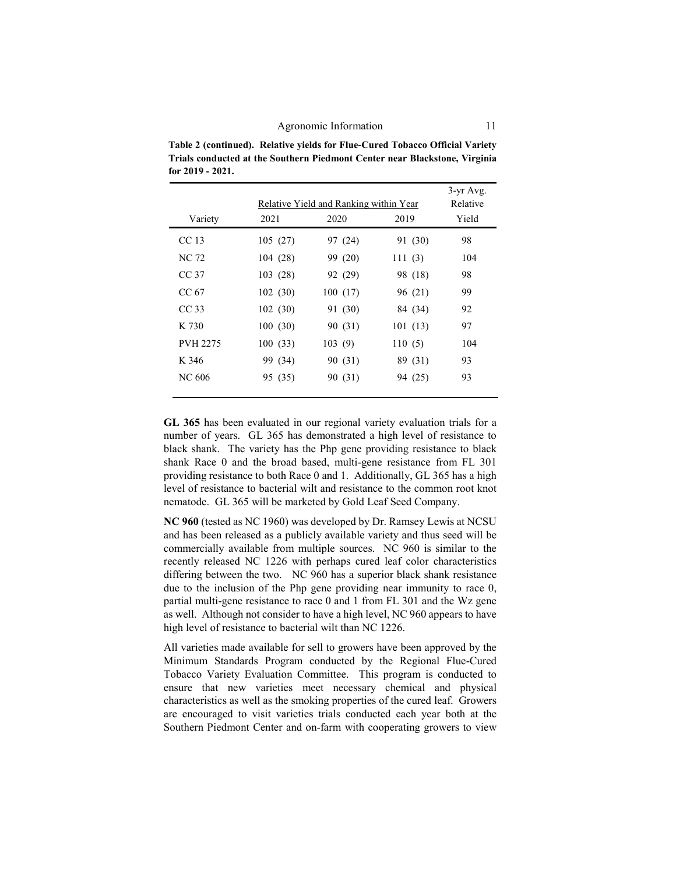**Table 2 (continued). Relative yields for Flue-Cured Tobacco Official Variety Trials conducted at the Southern Piedmont Center near Blackstone, Virginia for 2019 - 2021.**

|                  |         | Relative Yield and Ranking within Year |         | $3-yr$ Avg.<br>Relative |
|------------------|---------|----------------------------------------|---------|-------------------------|
| Variety          | 2021    | 2020                                   | 2019    | Yield                   |
| CC <sub>13</sub> | 105(27) | 97 (24)                                | 91 (30) | 98                      |
| NC 72            | 104(28) | 99 (20)                                | 111(3)  | 104                     |
| CC <sub>37</sub> | 103(28) | 92 (29)                                | 98 (18) | 98                      |
| CC 67            | 102(30) | 100(17)                                | 96 (21) | 99                      |
| CC <sub>33</sub> | 102(30) | 91 (30)                                | 84 (34) | 92                      |
| K 730            | 100(30) | 90 (31)                                | 101(13) | 97                      |
| <b>PVH 2275</b>  | 100(33) | 103(9)                                 | 110(5)  | 104                     |
| K 346            | 99 (34) | 90 (31)                                | 89 (31) | 93                      |
| NC 606           | 95 (35) | 90 (31)                                | 94 (25) | 93                      |
|                  |         |                                        |         |                         |

**GL 365** has been evaluated in our regional variety evaluation trials for a number of years. GL 365 has demonstrated a high level of resistance to black shank. The variety has the Php gene providing resistance to black shank Race 0 and the broad based, multi-gene resistance from FL 301 providing resistance to both Race 0 and 1. Additionally, GL 365 has a high level of resistance to bacterial wilt and resistance to the common root knot nematode. GL 365 will be marketed by Gold Leaf Seed Company.

**NC 960** (tested as NC 1960) was developed by Dr. Ramsey Lewis at NCSU and has been released as a publicly available variety and thus seed will be commercially available from multiple sources. NC 960 is similar to the recently released NC 1226 with perhaps cured leaf color characteristics differing between the two. NC 960 has a superior black shank resistance due to the inclusion of the Php gene providing near immunity to race 0, partial multi-gene resistance to race 0 and 1 from FL 301 and the Wz gene as well. Although not consider to have a high level, NC 960 appears to have high level of resistance to bacterial wilt than NC 1226.

All varieties made available for sell to growers have been approved by the Minimum Standards Program conducted by the Regional Flue-Cured Tobacco Variety Evaluation Committee. This program is conducted to ensure that new varieties meet necessary chemical and physical characteristics as well as the smoking properties of the cured leaf. Growers are encouraged to visit varieties trials conducted each year both at the Southern Piedmont Center and on-farm with cooperating growers to view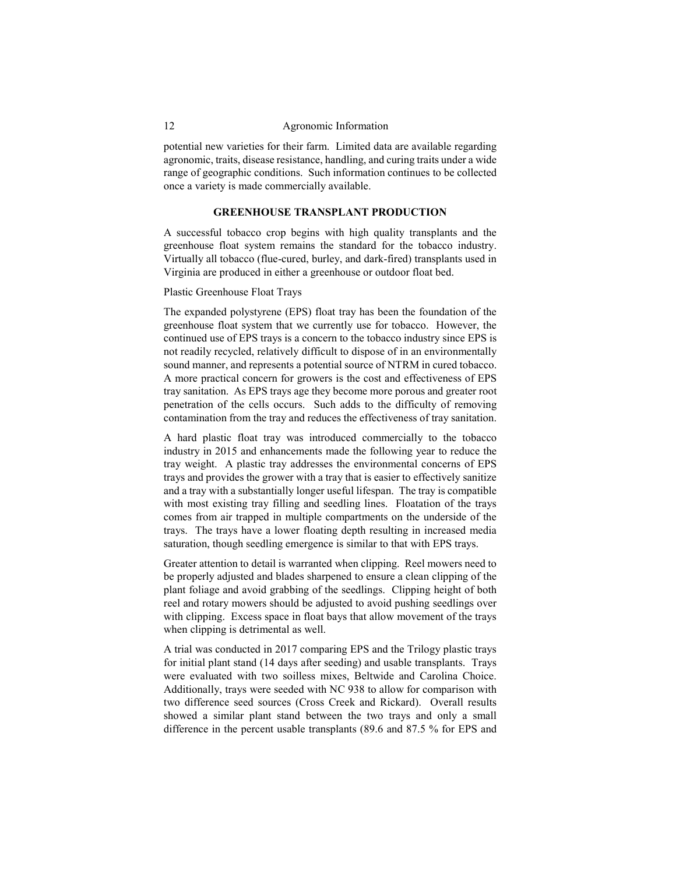potential new varieties for their farm. Limited data are available regarding agronomic, traits, disease resistance, handling, and curing traits under a wide range of geographic conditions. Such information continues to be collected once a variety is made commercially available.

### **GREENHOUSE TRANSPLANT PRODUCTION**

A successful tobacco crop begins with high quality transplants and the greenhouse float system remains the standard for the tobacco industry. Virtually all tobacco (flue-cured, burley, and dark-fired) transplants used in Virginia are produced in either a greenhouse or outdoor float bed.

## Plastic Greenhouse Float Trays

The expanded polystyrene (EPS) float tray has been the foundation of the greenhouse float system that we currently use for tobacco. However, the continued use of EPS trays is a concern to the tobacco industry since EPS is not readily recycled, relatively difficult to dispose of in an environmentally sound manner, and represents a potential source of NTRM in cured tobacco. A more practical concern for growers is the cost and effectiveness of EPS tray sanitation. As EPS trays age they become more porous and greater root penetration of the cells occurs. Such adds to the difficulty of removing contamination from the tray and reduces the effectiveness of tray sanitation.

A hard plastic float tray was introduced commercially to the tobacco industry in 2015 and enhancements made the following year to reduce the tray weight. A plastic tray addresses the environmental concerns of EPS trays and provides the grower with a tray that is easier to effectively sanitize and a tray with a substantially longer useful lifespan. The tray is compatible with most existing tray filling and seedling lines. Floatation of the trays comes from air trapped in multiple compartments on the underside of the trays. The trays have a lower floating depth resulting in increased media saturation, though seedling emergence is similar to that with EPS trays.

Greater attention to detail is warranted when clipping. Reel mowers need to be properly adjusted and blades sharpened to ensure a clean clipping of the plant foliage and avoid grabbing of the seedlings. Clipping height of both reel and rotary mowers should be adjusted to avoid pushing seedlings over with clipping. Excess space in float bays that allow movement of the trays when clipping is detrimental as well.

A trial was conducted in 2017 comparing EPS and the Trilogy plastic trays for initial plant stand (14 days after seeding) and usable transplants. Trays were evaluated with two soilless mixes, Beltwide and Carolina Choice. Additionally, trays were seeded with NC 938 to allow for comparison with two difference seed sources (Cross Creek and Rickard). Overall results showed a similar plant stand between the two trays and only a small difference in the percent usable transplants (89.6 and 87.5 % for EPS and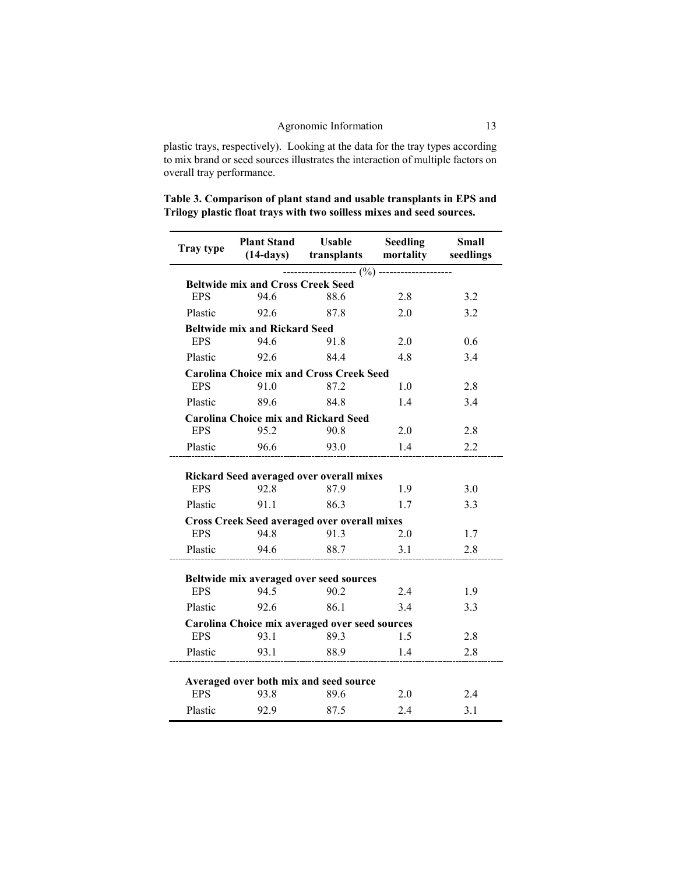plastic trays, respectively). Looking at the data for the tray types according to mix brand or seed sources illustrates the interaction of multiple factors on overall tray performance.

| Table 3. Comparison of plant stand and usable transplants in EPS and  |  |
|-----------------------------------------------------------------------|--|
| Trilogy plastic float trays with two soilless mixes and seed sources. |  |

| <b>Tray type</b> | <b>Plant Stand</b><br>$(14-days)$           | <b>Usable</b><br>transplants                                | <b>Seedling</b><br>mortality | Small<br>seedlings |
|------------------|---------------------------------------------|-------------------------------------------------------------|------------------------------|--------------------|
|                  |                                             |                                                             |                              |                    |
|                  | <b>Beltwide mix and Cross Creek Seed</b>    |                                                             | ------ (%) -------------     |                    |
| <b>EPS</b>       | 946                                         | 88.6                                                        | 2.8                          | 3.2                |
| Plastic          | 92.6                                        | 87.8                                                        | 2.0                          | 3.2                |
|                  | <b>Beltwide mix and Rickard Seed</b>        |                                                             |                              |                    |
| <b>EPS</b>       | 94.6                                        | 91.8                                                        | 2.0                          | 0.6                |
| Plastic          | 92.6                                        | 84.4                                                        | 4.8                          | 3.4                |
|                  |                                             | <b>Carolina Choice mix and Cross Creek Seed</b>             |                              |                    |
| <b>EPS</b>       | 91.0                                        | 87.2                                                        | 1.0                          | 2.8                |
| Plastic          | 89.6                                        | 84.8                                                        | 1.4                          | 3.4                |
|                  | <b>Carolina Choice mix and Rickard Seed</b> |                                                             |                              |                    |
| <b>EPS</b>       | 95.2                                        | 90.8                                                        | 2.0                          | 2.8                |
| Plastic          | 96.6                                        | 93.0                                                        | 1.4                          | 2.2                |
|                  |                                             |                                                             |                              |                    |
|                  |                                             | Rickard Seed averaged over overall mixes                    |                              |                    |
| <b>EPS</b>       | 92.8                                        | 87.9                                                        | 1.9                          | 3.0                |
| Plastic          | 91.1                                        | 86.3                                                        | 1.7                          | 3.3                |
| <b>EPS</b>       | 94.8                                        | <b>Cross Creek Seed averaged over overall mixes</b><br>91.3 | 2.0                          | 1.7                |
| Plastic          | 94.6                                        | 88.7                                                        | 3.1                          | 2.8                |
|                  |                                             |                                                             |                              |                    |
|                  |                                             | Beltwide mix averaged over seed sources                     |                              |                    |
| <b>EPS</b>       | 94.5                                        | 90.2                                                        | 2.4                          | 1.9                |
| Plastic          | 92.6                                        | 86.1                                                        | 3.4                          | 3.3                |
|                  |                                             | Carolina Choice mix averaged over seed sources              |                              |                    |
| <b>EPS</b>       | 93.1                                        | 89.3                                                        | 1.5                          | 2.8                |
| Plastic          | 93.1                                        | 88.9                                                        | 1.4                          | 2.8                |
|                  |                                             |                                                             |                              |                    |
|                  |                                             | Averaged over both mix and seed source                      |                              |                    |
| <b>EPS</b>       | 93.8                                        | 89.6                                                        | 2.0                          | 2.4                |
| Plastic          | 92.9                                        | 87.5                                                        | 2.4                          | 3.1                |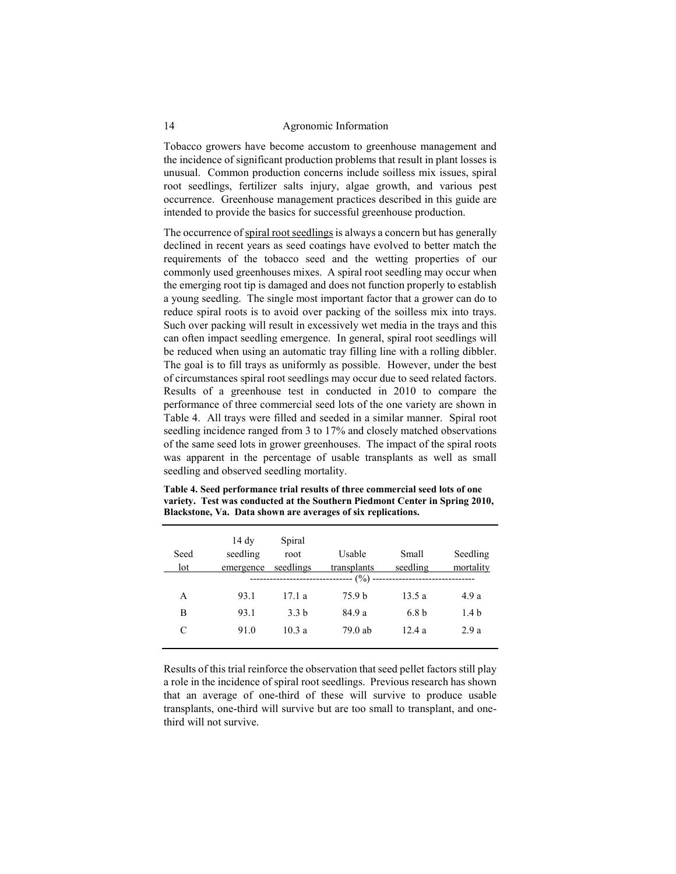Tobacco growers have become accustom to greenhouse management and the incidence of significant production problems that result in plant losses is unusual. Common production concerns include soilless mix issues, spiral root seedlings, fertilizer salts injury, algae growth, and various pest occurrence. Greenhouse management practices described in this guide are intended to provide the basics for successful greenhouse production.

The occurrence of spiral root seedlings is always a concern but has generally declined in recent years as seed coatings have evolved to better match the requirements of the tobacco seed and the wetting properties of our commonly used greenhouses mixes. A spiral root seedling may occur when the emerging root tip is damaged and does not function properly to establish a young seedling. The single most important factor that a grower can do to reduce spiral roots is to avoid over packing of the soilless mix into trays. Such over packing will result in excessively wet media in the trays and this can often impact seedling emergence. In general, spiral root seedlings will be reduced when using an automatic tray filling line with a rolling dibbler. The goal is to fill trays as uniformly as possible. However, under the best of circumstances spiral root seedlings may occur due to seed related factors. Results of a greenhouse test in conducted in 2010 to compare the performance of three commercial seed lots of the one variety are shown in Table 4. All trays were filled and seeded in a similar manner. Spiral root seedling incidence ranged from 3 to 17% and closely matched observations of the same seed lots in grower greenhouses. The impact of the spiral roots was apparent in the percentage of usable transplants as well as small seedling and observed seedling mortality.

| Seed<br>lot | 14 dy<br>seedling<br>emergence | Spiral<br>root<br>seedlings | Usable<br>transplants<br>(%) | Small<br>seedling | Seedling<br>mortality |
|-------------|--------------------------------|-----------------------------|------------------------------|-------------------|-----------------------|
| A           | 93.1                           | 17.1 a                      | 75.9 b                       | 13.5 a            | 4.9 a                 |
| B           | 93.1                           | 3.3 <sub>b</sub>            | 84.9 a                       | 6.8 <sub>b</sub>  | 1.4 <sub>b</sub>      |
| C           | 91.0                           | 10.3a                       | 79.0 ab                      | 12.4a             | 2.9a                  |

**Table 4. Seed performance trial results of three commercial seed lots of one variety. Test was conducted at the Southern Piedmont Center in Spring 2010, Blackstone, Va. Data shown are averages of six replications.**

Results of this trial reinforce the observation that seed pellet factors still play a role in the incidence of spiral root seedlings. Previous research has shown that an average of one-third of these will survive to produce usable transplants, one-third will survive but are too small to transplant, and onethird will not survive.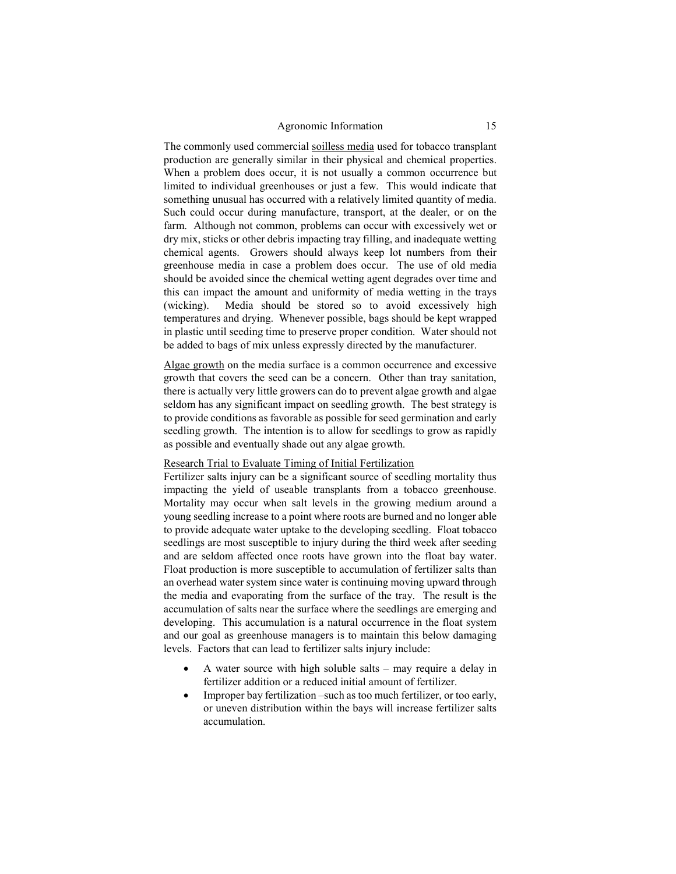The commonly used commercial soilless media used for tobacco transplant production are generally similar in their physical and chemical properties. When a problem does occur, it is not usually a common occurrence but limited to individual greenhouses or just a few. This would indicate that something unusual has occurred with a relatively limited quantity of media. Such could occur during manufacture, transport, at the dealer, or on the farm. Although not common, problems can occur with excessively wet or dry mix, sticks or other debris impacting tray filling, and inadequate wetting chemical agents. Growers should always keep lot numbers from their greenhouse media in case a problem does occur. The use of old media should be avoided since the chemical wetting agent degrades over time and this can impact the amount and uniformity of media wetting in the trays (wicking). Media should be stored so to avoid excessively high temperatures and drying. Whenever possible, bags should be kept wrapped in plastic until seeding time to preserve proper condition. Water should not be added to bags of mix unless expressly directed by the manufacturer.

Algae growth on the media surface is a common occurrence and excessive growth that covers the seed can be a concern. Other than tray sanitation, there is actually very little growers can do to prevent algae growth and algae seldom has any significant impact on seedling growth. The best strategy is to provide conditions as favorable as possible for seed germination and early seedling growth. The intention is to allow for seedlings to grow as rapidly as possible and eventually shade out any algae growth.

### Research Trial to Evaluate Timing of Initial Fertilization

Fertilizer salts injury can be a significant source of seedling mortality thus impacting the yield of useable transplants from a tobacco greenhouse. Mortality may occur when salt levels in the growing medium around a young seedling increase to a point where roots are burned and no longer able to provide adequate water uptake to the developing seedling. Float tobacco seedlings are most susceptible to injury during the third week after seeding and are seldom affected once roots have grown into the float bay water. Float production is more susceptible to accumulation of fertilizer salts than an overhead water system since water is continuing moving upward through the media and evaporating from the surface of the tray. The result is the accumulation of salts near the surface where the seedlings are emerging and developing. This accumulation is a natural occurrence in the float system and our goal as greenhouse managers is to maintain this below damaging levels. Factors that can lead to fertilizer salts injury include:

- A water source with high soluble salts may require a delay in fertilizer addition or a reduced initial amount of fertilizer.
- Improper bay fertilization –such as too much fertilizer, or too early, or uneven distribution within the bays will increase fertilizer salts accumulation.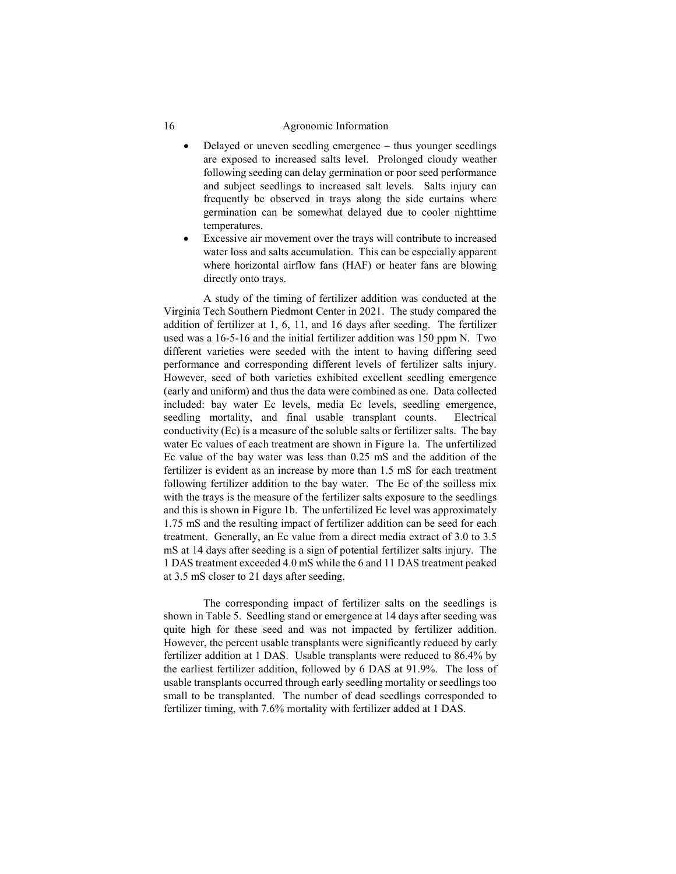- Delayed or uneven seedling emergence thus younger seedlings are exposed to increased salts level. Prolonged cloudy weather following seeding can delay germination or poor seed performance and subject seedlings to increased salt levels. Salts injury can frequently be observed in trays along the side curtains where germination can be somewhat delayed due to cooler nighttime temperatures.
- Excessive air movement over the trays will contribute to increased water loss and salts accumulation. This can be especially apparent where horizontal airflow fans (HAF) or heater fans are blowing directly onto trays.

A study of the timing of fertilizer addition was conducted at the Virginia Tech Southern Piedmont Center in 2021. The study compared the addition of fertilizer at 1, 6, 11, and 16 days after seeding. The fertilizer used was a 16-5-16 and the initial fertilizer addition was 150 ppm N. Two different varieties were seeded with the intent to having differing seed performance and corresponding different levels of fertilizer salts injury. However, seed of both varieties exhibited excellent seedling emergence (early and uniform) and thus the data were combined as one. Data collected included: bay water Ec levels, media Ec levels, seedling emergence, seedling mortality, and final usable transplant counts. Electrical conductivity (Ec) is a measure of the soluble salts or fertilizer salts. The bay water Ec values of each treatment are shown in Figure 1a. The unfertilized Ec value of the bay water was less than 0.25 mS and the addition of the fertilizer is evident as an increase by more than 1.5 mS for each treatment following fertilizer addition to the bay water. The Ec of the soilless mix with the trays is the measure of the fertilizer salts exposure to the seedlings and this is shown in Figure 1b. The unfertilized Ec level was approximately 1.75 mS and the resulting impact of fertilizer addition can be seed for each treatment. Generally, an Ec value from a direct media extract of 3.0 to 3.5 mS at 14 days after seeding is a sign of potential fertilizer salts injury. The 1 DAS treatment exceeded 4.0 mS while the 6 and 11 DAS treatment peaked at 3.5 mS closer to 21 days after seeding.

The corresponding impact of fertilizer salts on the seedlings is shown in Table 5. Seedling stand or emergence at 14 days after seeding was quite high for these seed and was not impacted by fertilizer addition. However, the percent usable transplants were significantly reduced by early fertilizer addition at 1 DAS. Usable transplants were reduced to 86.4% by the earliest fertilizer addition, followed by 6 DAS at 91.9%. The loss of usable transplants occurred through early seedling mortality or seedlings too small to be transplanted. The number of dead seedlings corresponded to fertilizer timing, with 7.6% mortality with fertilizer added at 1 DAS.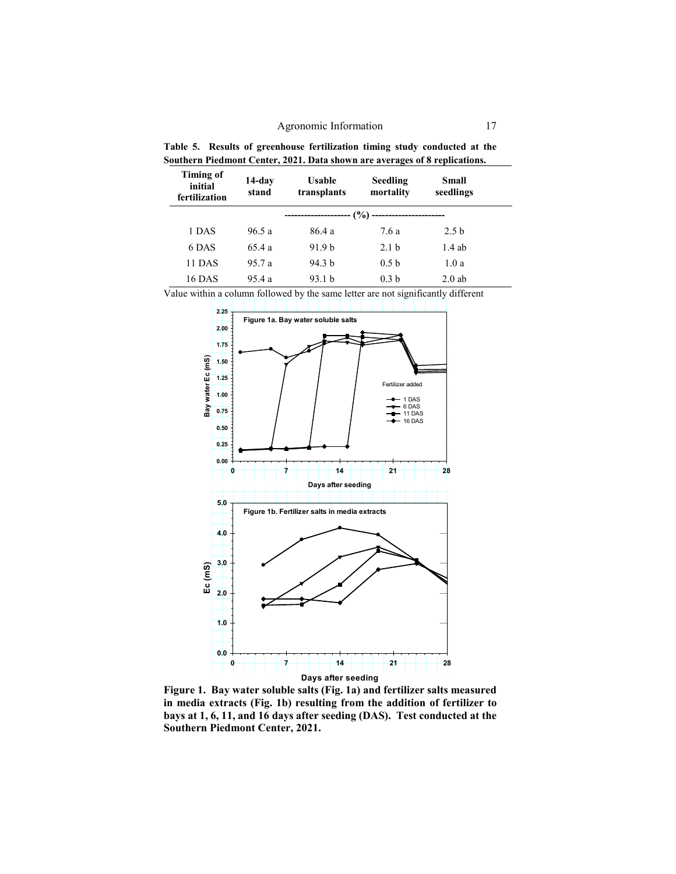**Table 5. Results of greenhouse fertilization timing study conducted at the Southern Piedmont Center, 2021. Data shown are averages of 8 replications.**

| <b>Timing of</b><br>initial<br>fertilization | 14-day<br>stand | Usable<br>transplants       | <b>Seedling</b><br>mortality | Small<br>seedlings |  |
|----------------------------------------------|-----------------|-----------------------------|------------------------------|--------------------|--|
|                                              |                 | $-(\%)$<br>---------------- | ----------------------       |                    |  |
| 1 DAS                                        | 96.5a           | 86.4 a                      | 7.6 a                        | 2.5 <sub>b</sub>   |  |
| 6 DAS                                        | 65.4a           | 91.9 <sub>b</sub>           | 2.1 <sub>b</sub>             | $1.4$ ab           |  |
| 11 DAS                                       | 95.7a           | 94.3 <sub>b</sub>           | 0.5 <sub>b</sub>             | 1.0a               |  |
| 16 DAS                                       | 95.4a           | 93.1 <sub>b</sub>           | 0.3 <sub>b</sub>             | $2.0$ ab           |  |

Value within a column followed by the same letter are not significantly different



**Figure 1. Bay water soluble salts (Fig. 1a) and fertilizer salts measured in media extracts (Fig. 1b) resulting from the addition of fertilizer to bays at 1, 6, 11, and 16 days after seeding (DAS). Test conducted at the Southern Piedmont Center, 2021.**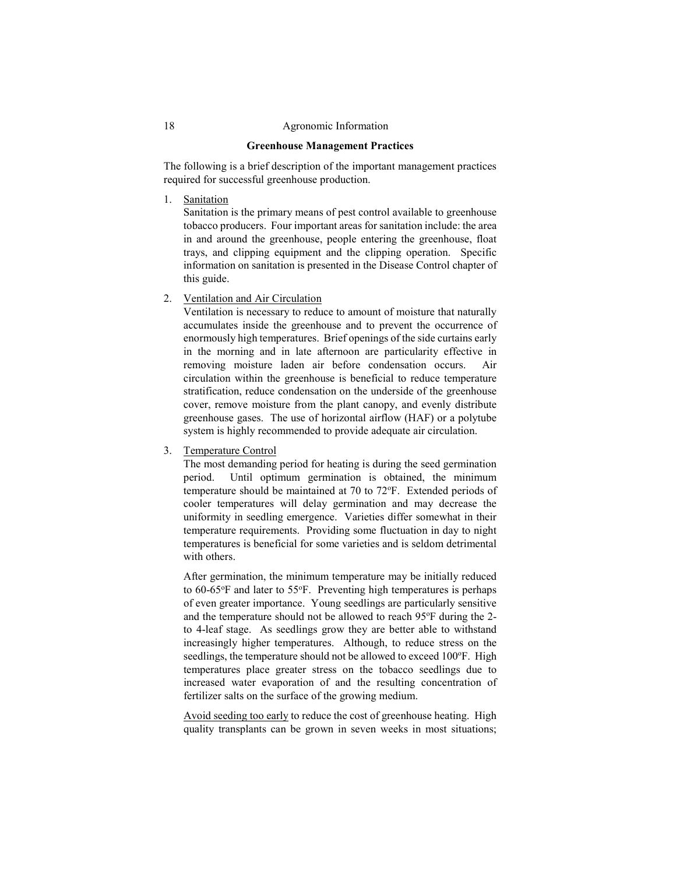### **Greenhouse Management Practices**

The following is a brief description of the important management practices required for successful greenhouse production.

1. Sanitation

Sanitation is the primary means of pest control available to greenhouse tobacco producers. Four important areas for sanitation include: the area in and around the greenhouse, people entering the greenhouse, float trays, and clipping equipment and the clipping operation. Specific information on sanitation is presented in the Disease Control chapter of this guide.

2. Ventilation and Air Circulation

Ventilation is necessary to reduce to amount of moisture that naturally accumulates inside the greenhouse and to prevent the occurrence of enormously high temperatures. Brief openings of the side curtains early in the morning and in late afternoon are particularity effective in removing moisture laden air before condensation occurs. Air circulation within the greenhouse is beneficial to reduce temperature stratification, reduce condensation on the underside of the greenhouse cover, remove moisture from the plant canopy, and evenly distribute greenhouse gases. The use of horizontal airflow (HAF) or a polytube system is highly recommended to provide adequate air circulation.

3. Temperature Control

The most demanding period for heating is during the seed germination period. Until optimum germination is obtained, the minimum temperature should be maintained at 70 to 72°F. Extended periods of cooler temperatures will delay germination and may decrease the uniformity in seedling emergence. Varieties differ somewhat in their temperature requirements. Providing some fluctuation in day to night temperatures is beneficial for some varieties and is seldom detrimental with others.

After germination, the minimum temperature may be initially reduced to 60-65°F and later to 55°F. Preventing high temperatures is perhaps of even greater importance. Young seedlings are particularly sensitive and the temperature should not be allowed to reach 95°F during the 2to 4-leaf stage. As seedlings grow they are better able to withstand increasingly higher temperatures. Although, to reduce stress on the seedlings, the temperature should not be allowed to exceed 100°F. High temperatures place greater stress on the tobacco seedlings due to increased water evaporation of and the resulting concentration of fertilizer salts on the surface of the growing medium.

Avoid seeding too early to reduce the cost of greenhouse heating. High quality transplants can be grown in seven weeks in most situations;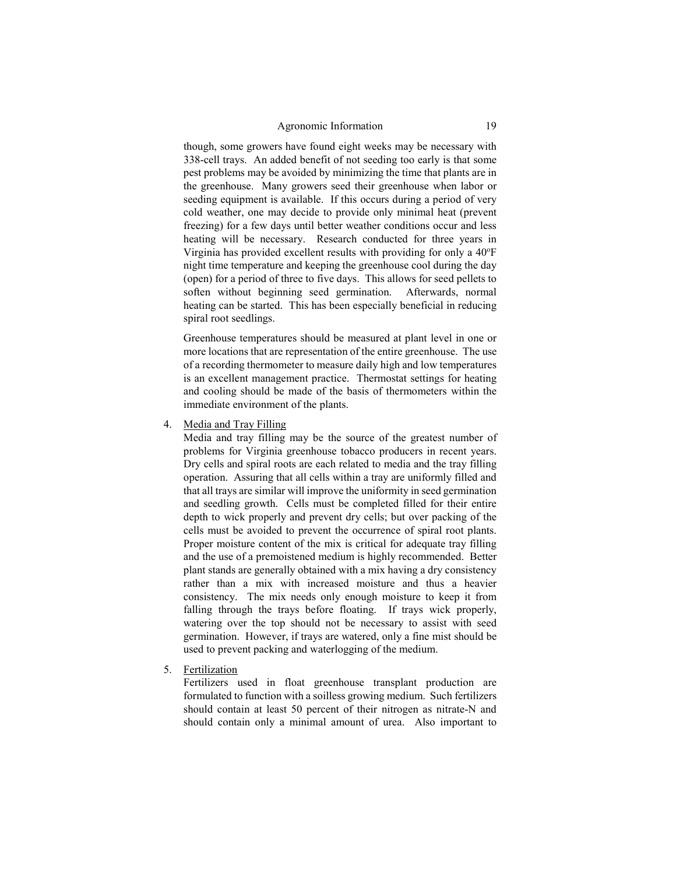though, some growers have found eight weeks may be necessary with 338-cell trays. An added benefit of not seeding too early is that some pest problems may be avoided by minimizing the time that plants are in the greenhouse. Many growers seed their greenhouse when labor or seeding equipment is available. If this occurs during a period of very cold weather, one may decide to provide only minimal heat (prevent freezing) for a few days until better weather conditions occur and less heating will be necessary. Research conducted for three years in Virginia has provided excellent results with providing for only a 40°F night time temperature and keeping the greenhouse cool during the day (open) for a period of three to five days. This allows for seed pellets to soften without beginning seed germination. Afterwards, normal heating can be started. This has been especially beneficial in reducing spiral root seedlings.

Greenhouse temperatures should be measured at plant level in one or more locations that are representation of the entire greenhouse. The use of a recording thermometer to measure daily high and low temperatures is an excellent management practice. Thermostat settings for heating and cooling should be made of the basis of thermometers within the immediate environment of the plants.

4. Media and Tray Filling

Media and tray filling may be the source of the greatest number of problems for Virginia greenhouse tobacco producers in recent years. Dry cells and spiral roots are each related to media and the tray filling operation. Assuring that all cells within a tray are uniformly filled and that all trays are similar will improve the uniformity in seed germination and seedling growth. Cells must be completed filled for their entire depth to wick properly and prevent dry cells; but over packing of the cells must be avoided to prevent the occurrence of spiral root plants. Proper moisture content of the mix is critical for adequate tray filling and the use of a premoistened medium is highly recommended. Better plant stands are generally obtained with a mix having a dry consistency rather than a mix with increased moisture and thus a heavier consistency. The mix needs only enough moisture to keep it from falling through the trays before floating. If trays wick properly, watering over the top should not be necessary to assist with seed germination. However, if trays are watered, only a fine mist should be used to prevent packing and waterlogging of the medium.

5. Fertilization

Fertilizers used in float greenhouse transplant production are formulated to function with a soilless growing medium. Such fertilizers should contain at least 50 percent of their nitrogen as nitrate-N and should contain only a minimal amount of urea. Also important to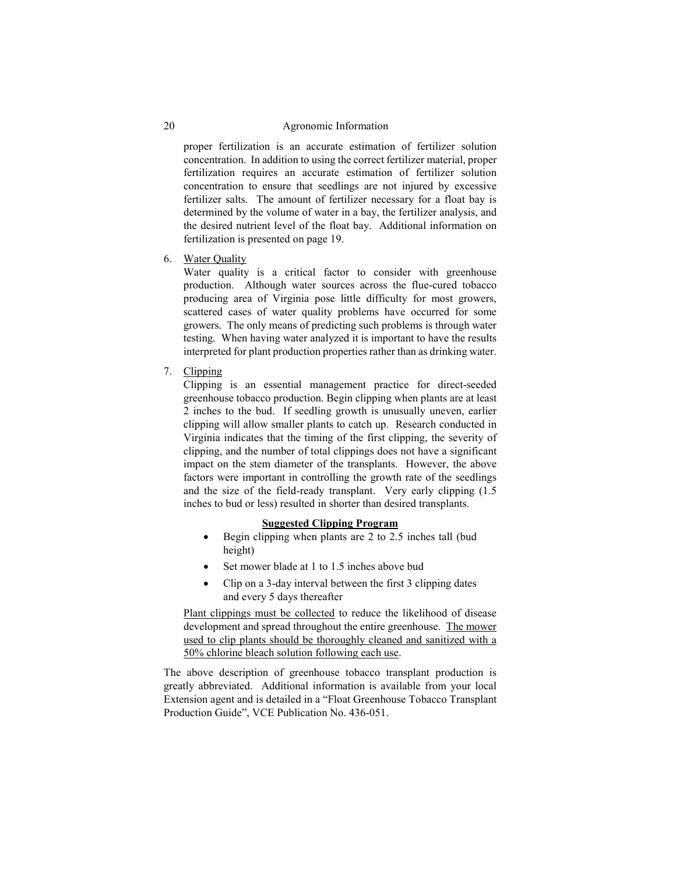proper fertilization is an accurate estimation of fertilizer solution concentration. In addition to using the correct fertilizer material, proper fertilization requires an accurate estimation of fertilizer solution concentration to ensure that seedlings are not injured by excessive fertilizer salts. The amount of fertilizer necessary for a float bay is determined by the volume of water in a bay, the fertilizer analysis, and the desired nutrient level of the float bay. Additional information on fertilization is presented on page 19.

6. Water Quality

Water quality is a critical factor to consider with greenhouse production. Although water sources across the flue-cured tobacco producing area of Virginia pose little difficulty for most growers, scattered cases of water quality problems have occurred for some growers. The only means of predicting such problems is through water testing. When having water analyzed it is important to have the results interpreted for plant production properties rather than as drinking water.

7. Clipping

Clipping is an essential management practice for direct-seeded greenhouse tobacco production. Begin clipping when plants are at least 2 inches to the bud. If seedling growth is unusually uneven, earlier clipping will allow smaller plants to catch up. Research conducted in Virginia indicates that the timing of the first clipping, the severity of clipping, and the number of total clippings does not have a significant impact on the stem diameter of the transplants. However, the above factors were important in controlling the growth rate of the seedlings and the size of the field-ready transplant. Very early clipping (1.5 inches to bud or less) resulted in shorter than desired transplants.

### **Suggested Clipping Program**

- Begin clipping when plants are 2 to 2.5 inches tall (bud height)
- Set mower blade at 1 to 1.5 inches above bud
- Clip on a 3-day interval between the first 3 clipping dates and every 5 days thereafter

Plant clippings must be collected to reduce the likelihood of disease development and spread throughout the entire greenhouse. The mower used to clip plants should be thoroughly cleaned and sanitized with a 50% chlorine bleach solution following each use.

The above description of greenhouse tobacco transplant production is greatly abbreviated. Additional information is available from your local Extension agent and is detailed in a "Float Greenhouse Tobacco Transplant Production Guide", VCE Publication No. 436-051.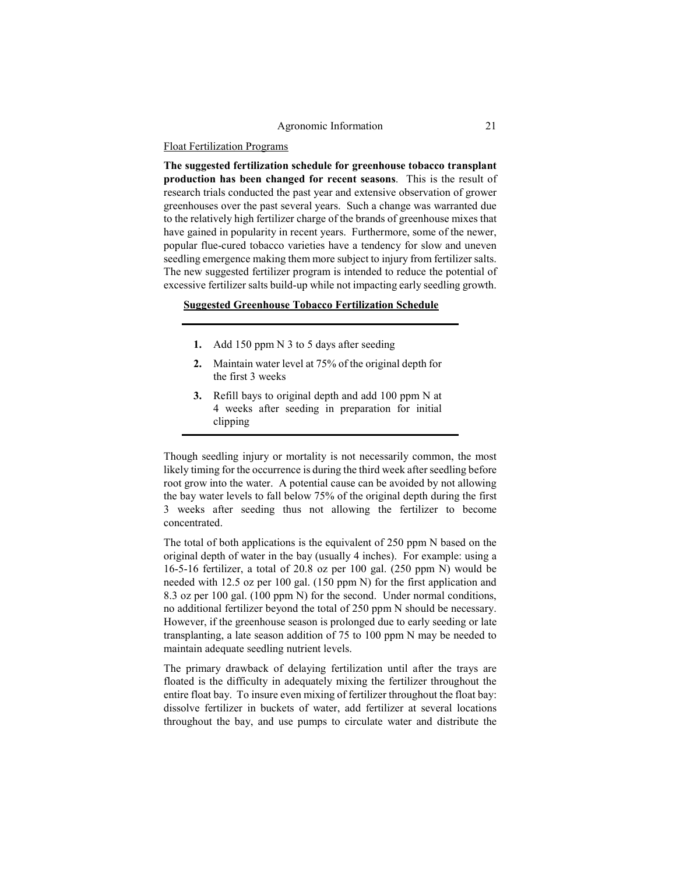### Float Fertilization Programs

**The suggested fertilization schedule for greenhouse tobacco transplant production has been changed for recent seasons**. This is the result of research trials conducted the past year and extensive observation of grower greenhouses over the past several years. Such a change was warranted due to the relatively high fertilizer charge of the brands of greenhouse mixes that have gained in popularity in recent years. Furthermore, some of the newer, popular flue-cured tobacco varieties have a tendency for slow and uneven seedling emergence making them more subject to injury from fertilizer salts. The new suggested fertilizer program is intended to reduce the potential of excessive fertilizer salts build-up while not impacting early seedling growth.

## **Suggested Greenhouse Tobacco Fertilization Schedule**

- **1.** Add 150 ppm N 3 to 5 days after seeding
- **2.** Maintain water level at 75% of the original depth for the first 3 weeks
- **3.** Refill bays to original depth and add 100 ppm N at 4 weeks after seeding in preparation for initial clipping

Though seedling injury or mortality is not necessarily common, the most likely timing for the occurrence is during the third week after seedling before root grow into the water. A potential cause can be avoided by not allowing the bay water levels to fall below 75% of the original depth during the first 3 weeks after seeding thus not allowing the fertilizer to become concentrated.

The total of both applications is the equivalent of 250 ppm N based on the original depth of water in the bay (usually 4 inches). For example: using a 16-5-16 fertilizer, a total of 20.8 oz per 100 gal. (250 ppm N) would be needed with 12.5 oz per 100 gal. (150 ppm N) for the first application and 8.3 oz per 100 gal. (100 ppm N) for the second. Under normal conditions, no additional fertilizer beyond the total of 250 ppm N should be necessary. However, if the greenhouse season is prolonged due to early seeding or late transplanting, a late season addition of 75 to 100 ppm N may be needed to maintain adequate seedling nutrient levels.

The primary drawback of delaying fertilization until after the trays are floated is the difficulty in adequately mixing the fertilizer throughout the entire float bay. To insure even mixing of fertilizer throughout the float bay: dissolve fertilizer in buckets of water, add fertilizer at several locations throughout the bay, and use pumps to circulate water and distribute the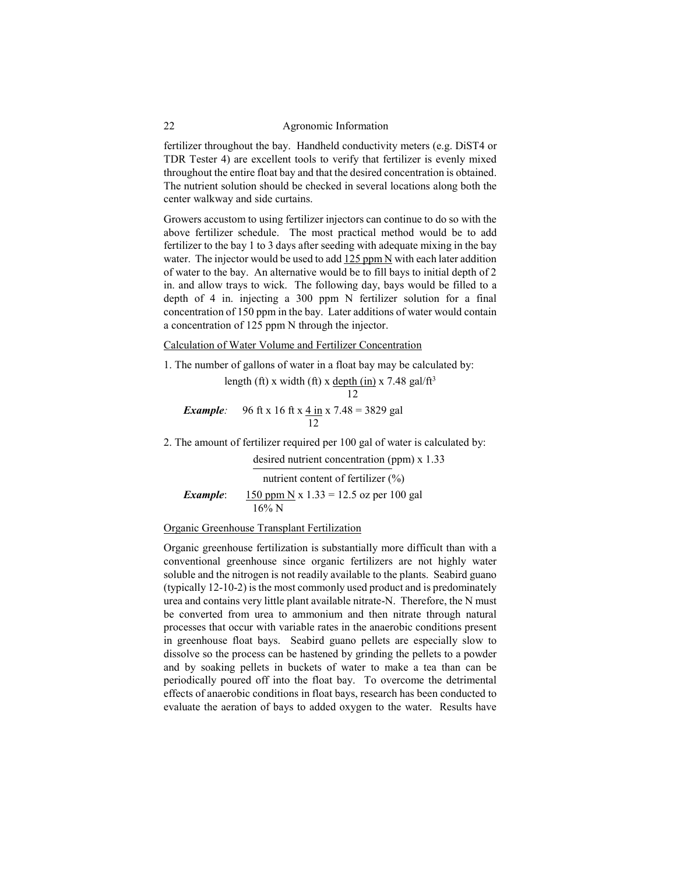fertilizer throughout the bay. Handheld conductivity meters (e.g. DiST4 or TDR Tester 4) are excellent tools to verify that fertilizer is evenly mixed throughout the entire float bay and that the desired concentration is obtained. The nutrient solution should be checked in several locations along both the center walkway and side curtains.

Growers accustom to using fertilizer injectors can continue to do so with the above fertilizer schedule. The most practical method would be to add fertilizer to the bay 1 to 3 days after seeding with adequate mixing in the bay water. The injector would be used to add 125 ppm N with each later addition of water to the bay. An alternative would be to fill bays to initial depth of 2 in. and allow trays to wick. The following day, bays would be filled to a depth of 4 in. injecting a 300 ppm N fertilizer solution for a final concentration of 150 ppm in the bay. Later additions of water would contain a concentration of 125 ppm N through the injector.

Calculation of Water Volume and Fertilizer Concentration

1. The number of gallons of water in a float bay may be calculated by:

length (ft) x width (ft) x depth (in) x 7.48 gal/ft<sup>3</sup> 12 *Example*: 96 ft x 16 ft x  $4 \text{ in } x$  7.48 = 3829 gal

12

2. The amount of fertilizer required per 100 gal of water is calculated by:

desired nutrient concentration (ppm) x 1.33 nutrient content of fertilizer (%) *Example*: 150 ppm N x  $1.33 = 12.5$  oz per 100 gal 16% N

## Organic Greenhouse Transplant Fertilization

Organic greenhouse fertilization is substantially more difficult than with a conventional greenhouse since organic fertilizers are not highly water soluble and the nitrogen is not readily available to the plants. Seabird guano (typically 12-10-2) is the most commonly used product and is predominately urea and contains very little plant available nitrate-N. Therefore, the N must be converted from urea to ammonium and then nitrate through natural processes that occur with variable rates in the anaerobic conditions present in greenhouse float bays. Seabird guano pellets are especially slow to dissolve so the process can be hastened by grinding the pellets to a powder and by soaking pellets in buckets of water to make a tea than can be periodically poured off into the float bay. To overcome the detrimental effects of anaerobic conditions in float bays, research has been conducted to evaluate the aeration of bays to added oxygen to the water. Results have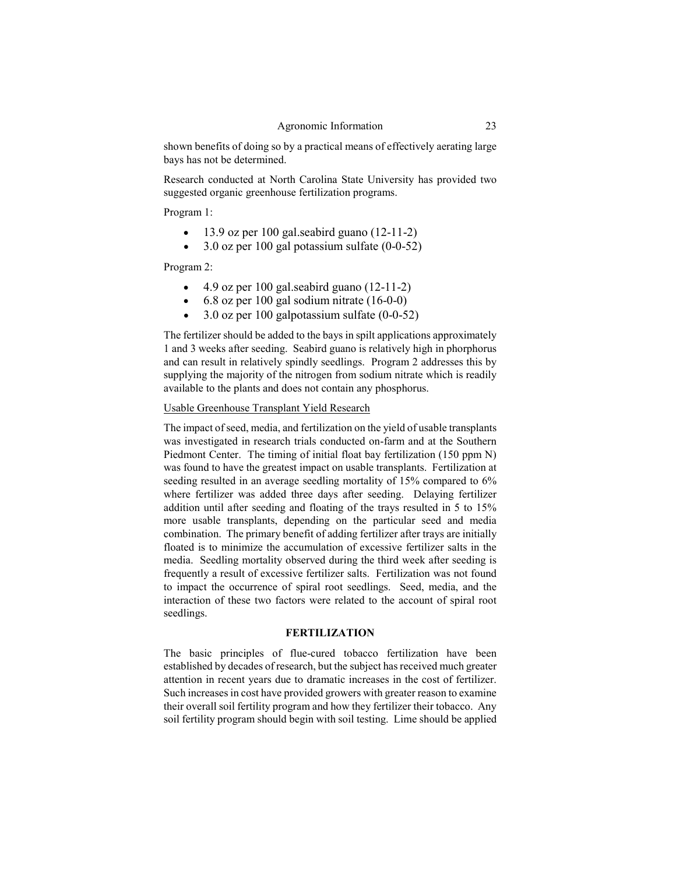shown benefits of doing so by a practical means of effectively aerating large bays has not be determined.

Research conducted at North Carolina State University has provided two suggested organic greenhouse fertilization programs.

Program 1:

- 13.9 oz per 100 gal.seabird guano (12-11-2)
- 3.0 oz per 100 gal potassium sulfate (0-0-52)

Program 2:

- 4.9 oz per 100 gal.seabird guano  $(12-11-2)$
- 6.8 oz per 100 gal sodium nitrate (16-0-0)
- 3.0 oz per 100 galpotassium sulfate (0-0-52)

The fertilizer should be added to the bays in spilt applications approximately 1 and 3 weeks after seeding. Seabird guano is relatively high in phorphorus and can result in relatively spindly seedlings. Program 2 addresses this by supplying the majority of the nitrogen from sodium nitrate which is readily available to the plants and does not contain any phosphorus.

### Usable Greenhouse Transplant Yield Research

The impact of seed, media, and fertilization on the yield of usable transplants was investigated in research trials conducted on-farm and at the Southern Piedmont Center. The timing of initial float bay fertilization (150 ppm N) was found to have the greatest impact on usable transplants. Fertilization at seeding resulted in an average seedling mortality of 15% compared to 6% where fertilizer was added three days after seeding. Delaying fertilizer addition until after seeding and floating of the trays resulted in 5 to 15% more usable transplants, depending on the particular seed and media combination. The primary benefit of adding fertilizer after trays are initially floated is to minimize the accumulation of excessive fertilizer salts in the media. Seedling mortality observed during the third week after seeding is frequently a result of excessive fertilizer salts. Fertilization was not found to impact the occurrence of spiral root seedlings. Seed, media, and the interaction of these two factors were related to the account of spiral root seedlings.

#### **FERTILIZATION**

The basic principles of flue-cured tobacco fertilization have been established by decades of research, but the subject has received much greater attention in recent years due to dramatic increases in the cost of fertilizer. Such increases in cost have provided growers with greater reason to examine their overall soil fertility program and how they fertilizer their tobacco. Any soil fertility program should begin with soil testing. Lime should be applied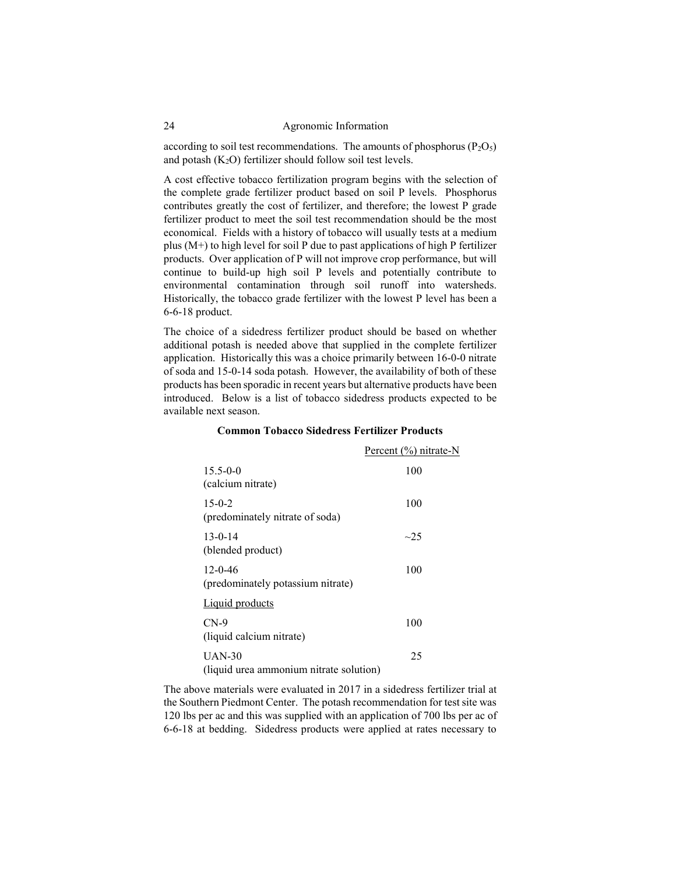according to soil test recommendations. The amounts of phosphorus  $(P_2O_5)$ and potash  $(K_2O)$  fertilizer should follow soil test levels.

A cost effective tobacco fertilization program begins with the selection of the complete grade fertilizer product based on soil P levels. Phosphorus contributes greatly the cost of fertilizer, and therefore; the lowest P grade fertilizer product to meet the soil test recommendation should be the most economical. Fields with a history of tobacco will usually tests at a medium plus (M+) to high level for soil P due to past applications of high P fertilizer products. Over application of P will not improve crop performance, but will continue to build-up high soil P levels and potentially contribute to environmental contamination through soil runoff into watersheds. Historically, the tobacco grade fertilizer with the lowest P level has been a 6-6-18 product.

The choice of a sidedress fertilizer product should be based on whether additional potash is needed above that supplied in the complete fertilizer application. Historically this was a choice primarily between 16-0-0 nitrate of soda and 15-0-14 soda potash. However, the availability of both of these products has been sporadic in recent years but alternative products have been introduced. Below is a list of tobacco sidedress products expected to be available next season.

### **Common Tobacco Sidedress Fertilizer Products**

|                                                     | Percent (%) nitrate-N |
|-----------------------------------------------------|-----------------------|
| $15.5 - 0 - 0$<br>(calcium nitrate)                 | 100                   |
| $15-0-2$<br>(predominately nitrate of soda)         | 100                   |
| $13 - 0 - 14$<br>(blended product)                  | $\sim$ 25             |
| $12 - 0 - 46$<br>(predominately potassium nitrate)  | 100                   |
| Liquid products                                     |                       |
| $CN-9$<br>(liquid calcium nitrate)                  | 100                   |
| $UAN-30$<br>(liquid urea ammonium nitrate solution) | 25                    |

The above materials were evaluated in 2017 in a sidedress fertilizer trial at the Southern Piedmont Center. The potash recommendation for test site was 120 lbs per ac and this was supplied with an application of 700 lbs per ac of 6-6-18 at bedding. Sidedress products were applied at rates necessary to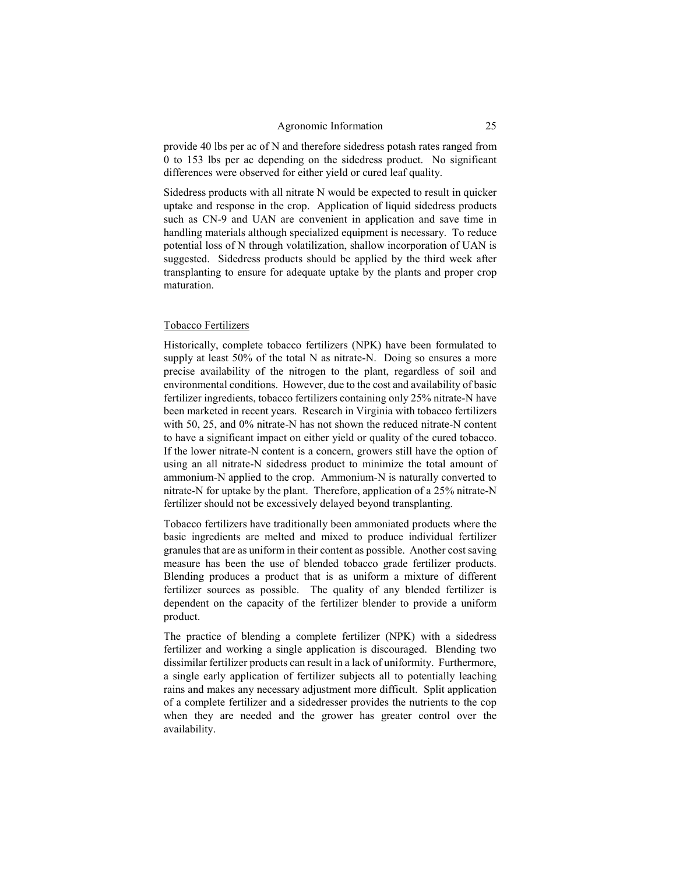provide 40 lbs per ac of N and therefore sidedress potash rates ranged from 0 to 153 lbs per ac depending on the sidedress product. No significant differences were observed for either yield or cured leaf quality.

Sidedress products with all nitrate N would be expected to result in quicker uptake and response in the crop. Application of liquid sidedress products such as CN-9 and UAN are convenient in application and save time in handling materials although specialized equipment is necessary. To reduce potential loss of N through volatilization, shallow incorporation of UAN is suggested. Sidedress products should be applied by the third week after transplanting to ensure for adequate uptake by the plants and proper crop maturation.

#### Tobacco Fertilizers

Historically, complete tobacco fertilizers (NPK) have been formulated to supply at least 50% of the total N as nitrate-N. Doing so ensures a more precise availability of the nitrogen to the plant, regardless of soil and environmental conditions. However, due to the cost and availability of basic fertilizer ingredients, tobacco fertilizers containing only 25% nitrate-N have been marketed in recent years. Research in Virginia with tobacco fertilizers with 50, 25, and 0% nitrate-N has not shown the reduced nitrate-N content to have a significant impact on either yield or quality of the cured tobacco. If the lower nitrate-N content is a concern, growers still have the option of using an all nitrate-N sidedress product to minimize the total amount of ammonium-N applied to the crop. Ammonium-N is naturally converted to nitrate-N for uptake by the plant. Therefore, application of a 25% nitrate-N fertilizer should not be excessively delayed beyond transplanting.

Tobacco fertilizers have traditionally been ammoniated products where the basic ingredients are melted and mixed to produce individual fertilizer granules that are as uniform in their content as possible. Another cost saving measure has been the use of blended tobacco grade fertilizer products. Blending produces a product that is as uniform a mixture of different fertilizer sources as possible. The quality of any blended fertilizer is dependent on the capacity of the fertilizer blender to provide a uniform product.

The practice of blending a complete fertilizer (NPK) with a sidedress fertilizer and working a single application is discouraged. Blending two dissimilar fertilizer products can result in a lack of uniformity. Furthermore, a single early application of fertilizer subjects all to potentially leaching rains and makes any necessary adjustment more difficult. Split application of a complete fertilizer and a sidedresser provides the nutrients to the cop when they are needed and the grower has greater control over the availability.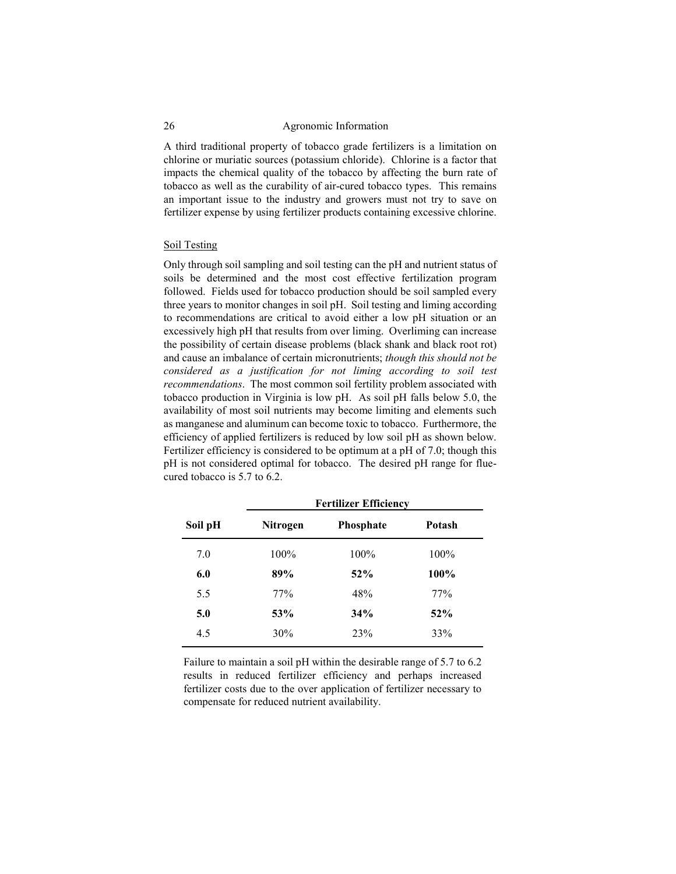A third traditional property of tobacco grade fertilizers is a limitation on chlorine or muriatic sources (potassium chloride). Chlorine is a factor that impacts the chemical quality of the tobacco by affecting the burn rate of tobacco as well as the curability of air-cured tobacco types. This remains an important issue to the industry and growers must not try to save on fertilizer expense by using fertilizer products containing excessive chlorine.

### Soil Testing

Only through soil sampling and soil testing can the pH and nutrient status of soils be determined and the most cost effective fertilization program followed. Fields used for tobacco production should be soil sampled every three years to monitor changes in soil pH. Soil testing and liming according to recommendations are critical to avoid either a low pH situation or an excessively high pH that results from over liming. Overliming can increase the possibility of certain disease problems (black shank and black root rot) and cause an imbalance of certain micronutrients; *though this should not be considered as a justification for not liming according to soil test recommendations*. The most common soil fertility problem associated with tobacco production in Virginia is low pH. As soil pH falls below 5.0, the availability of most soil nutrients may become limiting and elements such as manganese and aluminum can become toxic to tobacco. Furthermore, the efficiency of applied fertilizers is reduced by low soil pH as shown below. Fertilizer efficiency is considered to be optimum at a pH of 7.0; though this pH is not considered optimal for tobacco. The desired pH range for fluecured tobacco is 5.7 to 6.2.

| <b>Fertilizer Efficiency</b> |                  |        |  |
|------------------------------|------------------|--------|--|
| Nitrogen                     | <b>Phosphate</b> | Potash |  |
| 100%                         | 100%             | 100%   |  |
| 89%                          | 52%              | 100%   |  |
| 77%                          | 48%              | 77%    |  |
| 53%                          | 34%              | 52%    |  |
| 30%                          | 23%              | 33%    |  |
|                              |                  |        |  |

Failure to maintain a soil pH within the desirable range of 5.7 to 6.2 results in reduced fertilizer efficiency and perhaps increased fertilizer costs due to the over application of fertilizer necessary to compensate for reduced nutrient availability.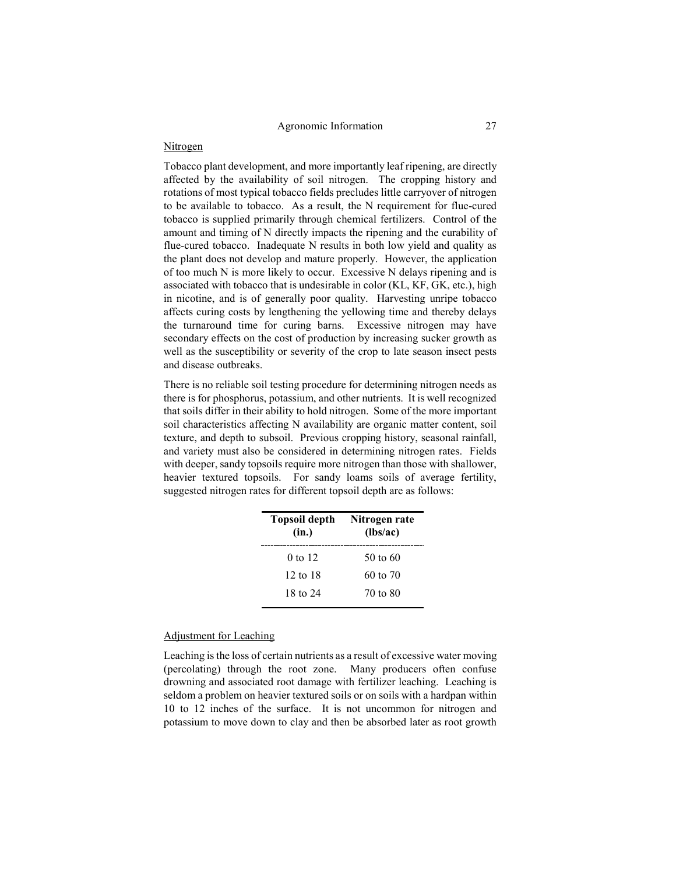### Nitrogen

Tobacco plant development, and more importantly leaf ripening, are directly affected by the availability of soil nitrogen. The cropping history and rotations of most typical tobacco fields precludes little carryover of nitrogen to be available to tobacco. As a result, the N requirement for flue-cured tobacco is supplied primarily through chemical fertilizers. Control of the amount and timing of N directly impacts the ripening and the curability of flue-cured tobacco. Inadequate N results in both low yield and quality as the plant does not develop and mature properly. However, the application of too much N is more likely to occur. Excessive N delays ripening and is associated with tobacco that is undesirable in color (KL, KF, GK, etc.), high in nicotine, and is of generally poor quality. Harvesting unripe tobacco affects curing costs by lengthening the yellowing time and thereby delays the turnaround time for curing barns. Excessive nitrogen may have secondary effects on the cost of production by increasing sucker growth as well as the susceptibility or severity of the crop to late season insect pests and disease outbreaks.

There is no reliable soil testing procedure for determining nitrogen needs as there is for phosphorus, potassium, and other nutrients. It is well recognized that soils differ in their ability to hold nitrogen. Some of the more important soil characteristics affecting N availability are organic matter content, soil texture, and depth to subsoil. Previous cropping history, seasonal rainfall, and variety must also be considered in determining nitrogen rates. Fields with deeper, sandy topsoils require more nitrogen than those with shallower, heavier textured topsoils. For sandy loams soils of average fertility, suggested nitrogen rates for different topsoil depth are as follows:

| Topsoil depth<br>(in.) | Nitrogen rate<br>(lbs/ac) |
|------------------------|---------------------------|
| $0$ to 12              | 50 to 60                  |
| 12 to 18               | $60 \text{ to } 70$       |
| 18 to 24               | 70 to 80                  |

## Adjustment for Leaching

Leaching is the loss of certain nutrients as a result of excessive water moving (percolating) through the root zone. Many producers often confuse drowning and associated root damage with fertilizer leaching. Leaching is seldom a problem on heavier textured soils or on soils with a hardpan within 10 to 12 inches of the surface. It is not uncommon for nitrogen and potassium to move down to clay and then be absorbed later as root growth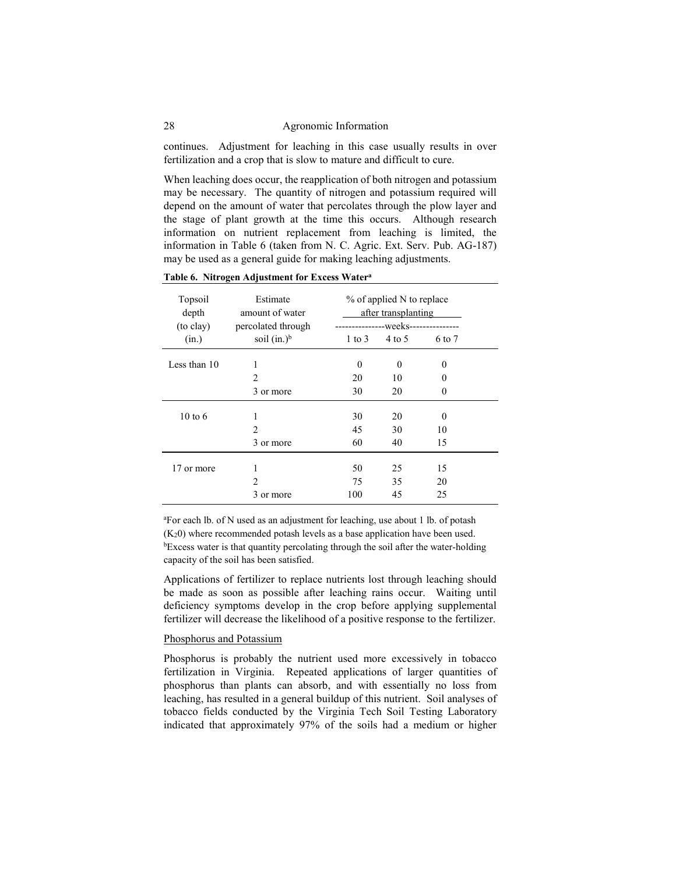continues. Adjustment for leaching in this case usually results in over fertilization and a crop that is slow to mature and difficult to cure.

When leaching does occur, the reapplication of both nitrogen and potassium may be necessary. The quantity of nitrogen and potassium required will depend on the amount of water that percolates through the plow layer and the stage of plant growth at the time this occurs. Although research information on nutrient replacement from leaching is limited, the information in Table 6 (taken from N. C. Agric. Ext. Serv. Pub. AG-187) may be used as a general guide for making leaching adjustments.

| Topsoil<br>depth<br>(to clay) | Estimate<br>amount of water<br>percolated through |                   | % of applied N to replace<br>after transplanting<br>----------------weeks--------------- |          |  |
|-------------------------------|---------------------------------------------------|-------------------|------------------------------------------------------------------------------------------|----------|--|
| (in.)                         | soil $(in.)^b$                                    | $1 \text{ to } 3$ | $4$ to 5                                                                                 | 6 to 7   |  |
| Less than 10                  | 1                                                 | 0                 | $\Omega$                                                                                 | $\Omega$ |  |
|                               | $\mathfrak{D}$                                    | 20                | 10                                                                                       | $\theta$ |  |
|                               | 3 or more                                         | 30                | 20                                                                                       | $\theta$ |  |
| $10 \text{ to } 6$            | 1                                                 | 30                | 20                                                                                       | $\Omega$ |  |
|                               | $\mathfrak{D}$                                    | 45                | 30                                                                                       | 10       |  |
|                               | 3 or more                                         | 60                | 40                                                                                       | 15       |  |
| 17 or more                    |                                                   | 50                | 25                                                                                       | 15       |  |
|                               | $\mathfrak{D}$                                    | 75                | 35                                                                                       | 20       |  |
|                               | 3 or more                                         | 100               | 45                                                                                       | 25       |  |

**Table 6. Nitrogen Adjustment for Excess Watera**

<sup>a</sup>For each lb. of N used as an adjustment for leaching, use about 1 lb. of potash (K20) where recommended potash levels as a base application have been used. <sup>b</sup>Excess water is that quantity percolating through the soil after the water-holding capacity of the soil has been satisfied.

Applications of fertilizer to replace nutrients lost through leaching should be made as soon as possible after leaching rains occur. Waiting until deficiency symptoms develop in the crop before applying supplemental fertilizer will decrease the likelihood of a positive response to the fertilizer.

### Phosphorus and Potassium

Phosphorus is probably the nutrient used more excessively in tobacco fertilization in Virginia. Repeated applications of larger quantities of phosphorus than plants can absorb, and with essentially no loss from leaching, has resulted in a general buildup of this nutrient. Soil analyses of tobacco fields conducted by the Virginia Tech Soil Testing Laboratory indicated that approximately 97% of the soils had a medium or higher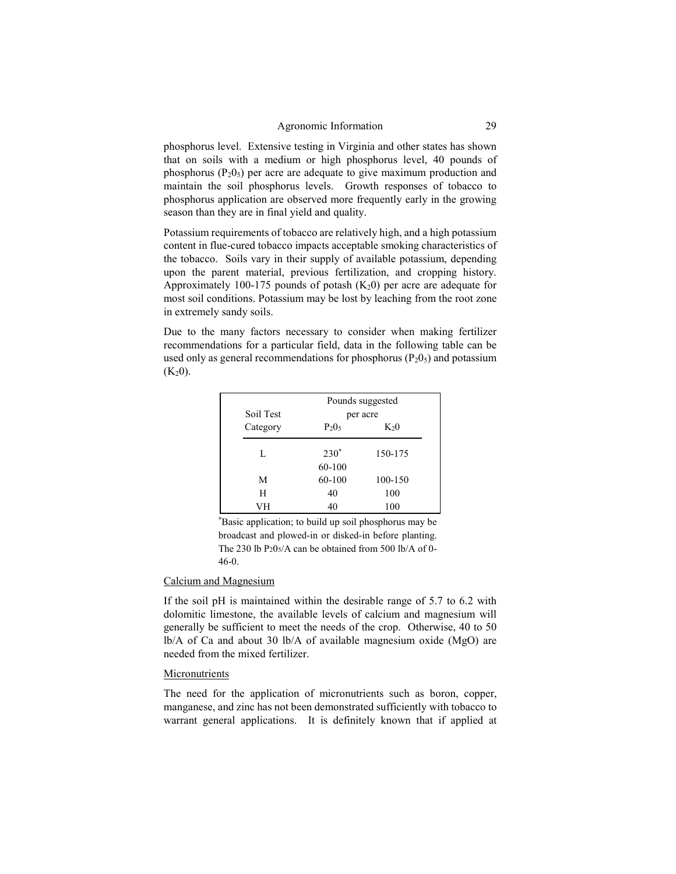phosphorus level. Extensive testing in Virginia and other states has shown that on soils with a medium or high phosphorus level, 40 pounds of phosphorus  $(P_2O_5)$  per acre are adequate to give maximum production and maintain the soil phosphorus levels. Growth responses of tobacco to phosphorus application are observed more frequently early in the growing season than they are in final yield and quality.

Potassium requirements of tobacco are relatively high, and a high potassium content in flue-cured tobacco impacts acceptable smoking characteristics of the tobacco. Soils vary in their supply of available potassium, depending upon the parent material, previous fertilization, and cropping history. Approximately 100-175 pounds of potash  $(K_2 0)$  per acre are adequate for most soil conditions. Potassium may be lost by leaching from the root zone in extremely sandy soils.

Due to the many factors necessary to consider when making fertilizer recommendations for a particular field, data in the following table can be used only as general recommendations for phosphorus  $(P_2O_5)$  and potassium  $(K_2 0)$ .

|           | Pounds suggested |          |  |  |
|-----------|------------------|----------|--|--|
| Soil Test |                  | per acre |  |  |
| Category  | $P_2O_5$         | $K_20$   |  |  |
| L         | $230^*$          | 150-175  |  |  |
|           | 60-100           |          |  |  |
| М         | 60-100           | 100-150  |  |  |
| н         | 40               | 100      |  |  |
| VН        | 40               | 100      |  |  |

\*Basic application; to build up soil phosphorus may be broadcast and plowed-in or disked-in before planting. The 230 lb  $P_2O<sub>5</sub>/A$  can be obtained from 500 lb/A of 0-46-0.

### Calcium and Magnesium

If the soil pH is maintained within the desirable range of 5.7 to 6.2 with dolomitic limestone, the available levels of calcium and magnesium will generally be sufficient to meet the needs of the crop. Otherwise, 40 to 50 lb/A of Ca and about 30 lb/A of available magnesium oxide (MgO) are needed from the mixed fertilizer.

### **Micronutrients**

The need for the application of micronutrients such as boron, copper, manganese, and zinc has not been demonstrated sufficiently with tobacco to warrant general applications. It is definitely known that if applied at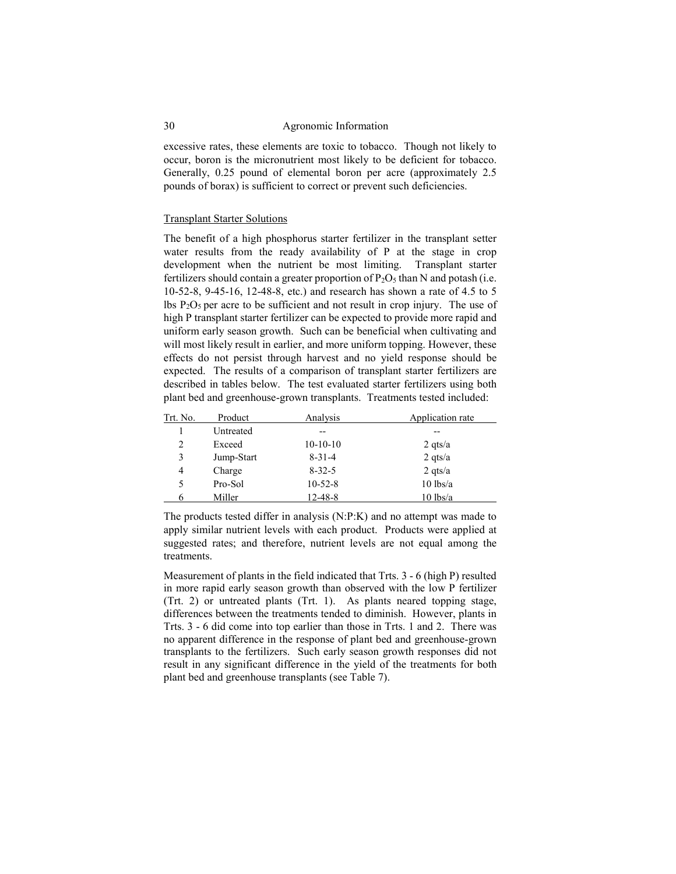excessive rates, these elements are toxic to tobacco. Though not likely to occur, boron is the micronutrient most likely to be deficient for tobacco. Generally, 0.25 pound of elemental boron per acre (approximately 2.5 pounds of borax) is sufficient to correct or prevent such deficiencies.

### Transplant Starter Solutions

The benefit of a high phosphorus starter fertilizer in the transplant setter water results from the ready availability of P at the stage in crop development when the nutrient be most limiting. Transplant starter fertilizers should contain a greater proportion of  $P_2O_5$  than N and potash (i.e. 10-52-8, 9-45-16, 12-48-8, etc.) and research has shown a rate of 4.5 to 5 lbs  $P_2O_5$  per acre to be sufficient and not result in crop injury. The use of high P transplant starter fertilizer can be expected to provide more rapid and uniform early season growth. Such can be beneficial when cultivating and will most likely result in earlier, and more uniform topping. However, these effects do not persist through harvest and no yield response should be expected. The results of a comparison of transplant starter fertilizers are described in tables below. The test evaluated starter fertilizers using both plant bed and greenhouse-grown transplants. Treatments tested included:

| Trt. No. | Product    | Analysis     | Application rate |
|----------|------------|--------------|------------------|
|          | Untreated  |              | --               |
| 2        | Exceed     | $10-10-10$   | 2 qts/a          |
| 3        | Jump-Start | $8 - 31 - 4$ | $2$ qts/a        |
| 4        | Charge     | $8 - 32 - 5$ | $2$ qts/a        |
| 5        | Pro-Sol    | $10-52-8$    | $10$ lbs/a       |
|          | Miller     | 12-48-8      | $10$ lbs/a       |

The products tested differ in analysis (N:P:K) and no attempt was made to apply similar nutrient levels with each product. Products were applied at suggested rates; and therefore, nutrient levels are not equal among the treatments.

Measurement of plants in the field indicated that Trts. 3 - 6 (high P) resulted in more rapid early season growth than observed with the low P fertilizer (Trt. 2) or untreated plants (Trt. 1). As plants neared topping stage, differences between the treatments tended to diminish. However, plants in Trts. 3 - 6 did come into top earlier than those in Trts. 1 and 2. There was no apparent difference in the response of plant bed and greenhouse-grown transplants to the fertilizers. Such early season growth responses did not result in any significant difference in the yield of the treatments for both plant bed and greenhouse transplants (see Table 7).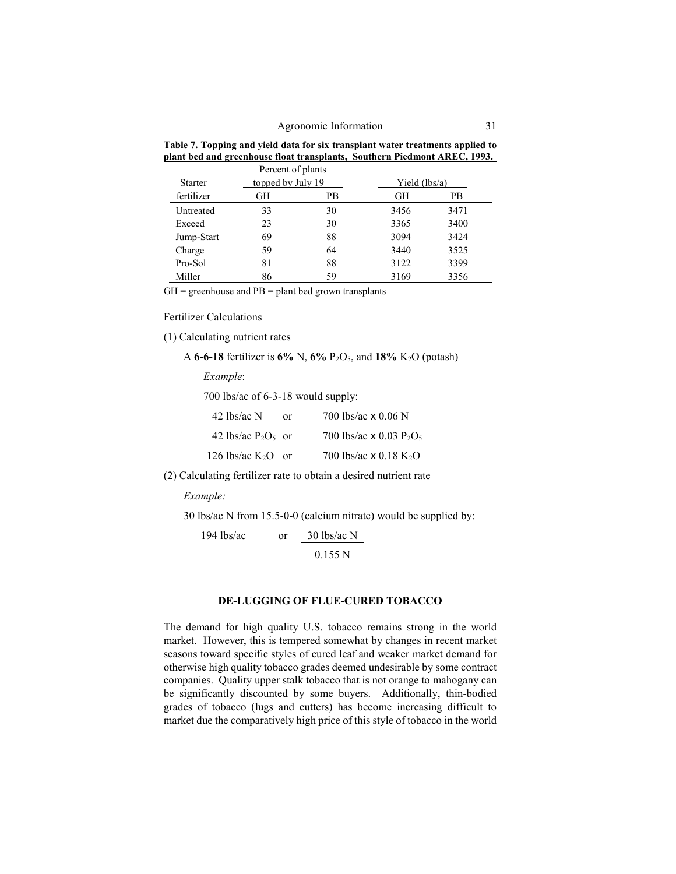| Table 7. Topping and yield data for six transplant water treatments applied to |  |  |                                                                           |  |
|--------------------------------------------------------------------------------|--|--|---------------------------------------------------------------------------|--|
|                                                                                |  |  | plant bed and greenhouse float transplants, Southern Piedmont AREC, 1993. |  |
|                                                                                |  |  |                                                                           |  |

|                | Percent of plants |    |                 |      |
|----------------|-------------------|----|-----------------|------|
| <b>Starter</b> | topped by July 19 |    | Yield $(lbs/a)$ |      |
| fertilizer     | GН                | РB | GH              | РB   |
| Untreated      | 33                | 30 | 3456            | 3471 |
| Exceed         | 23                | 30 | 3365            | 3400 |
| Jump-Start     | 69                | 88 | 3094            | 3424 |
| Charge         | 59                | 64 | 3440            | 3525 |
| Pro-Sol        | 81                | 88 | 3122            | 3399 |
| Miller         | 86                | 59 | 3169            | 3356 |

 $GH =$  greenhouse and  $PB =$  plant bed grown transplants

Fertilizer Calculations

(1) Calculating nutrient rates

A **6-6-18** fertilizer is **6%** N, **6%** P2O5, and **18%** K2O (potash)

*Example*:

700 lbs/ac of 6-3-18 would supply:

| 42 lbs/ac $N$         | Ωr | 700 lbs/ac $\times$ 0.06 N                             |
|-----------------------|----|--------------------------------------------------------|
| 42 lbs/ac $P_2O_5$ or |    | 700 lbs/ac $\times$ 0.03 P <sub>2</sub> O <sub>5</sub> |
| 126 lbs/ac $K_2O$ or  |    | 700 lbs/ac $\times$ 0.18 K <sub>2</sub> O              |

(2) Calculating fertilizer rate to obtain a desired nutrient rate

*Example:*

30 lbs/ac N from 15.5-0-0 (calcium nitrate) would be supplied by:

194 lbs/ac or 30 lbs/ac N 0.155 N

### **DE-LUGGING OF FLUE-CURED TOBACCO**

The demand for high quality U.S. tobacco remains strong in the world market. However, this is tempered somewhat by changes in recent market seasons toward specific styles of cured leaf and weaker market demand for otherwise high quality tobacco grades deemed undesirable by some contract companies. Quality upper stalk tobacco that is not orange to mahogany can be significantly discounted by some buyers. Additionally, thin-bodied grades of tobacco (lugs and cutters) has become increasing difficult to market due the comparatively high price of this style of tobacco in the world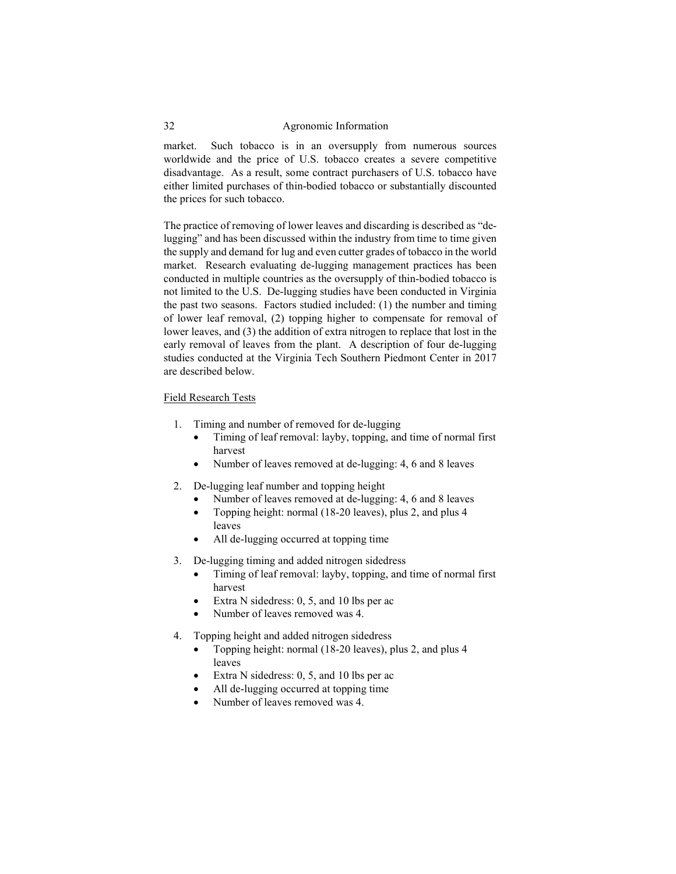market. Such tobacco is in an oversupply from numerous sources worldwide and the price of U.S. tobacco creates a severe competitive disadvantage. As a result, some contract purchasers of U.S. tobacco have either limited purchases of thin-bodied tobacco or substantially discounted the prices for such tobacco.

The practice of removing of lower leaves and discarding is described as "delugging" and has been discussed within the industry from time to time given the supply and demand for lug and even cutter grades of tobacco in the world market. Research evaluating de-lugging management practices has been conducted in multiple countries as the oversupply of thin-bodied tobacco is not limited to the U.S. De-lugging studies have been conducted in Virginia the past two seasons. Factors studied included: (1) the number and timing of lower leaf removal, (2) topping higher to compensate for removal of lower leaves, and (3) the addition of extra nitrogen to replace that lost in the early removal of leaves from the plant. A description of four de-lugging studies conducted at the Virginia Tech Southern Piedmont Center in 2017 are described below.

### Field Research Tests

- 1. Timing and number of removed for de-lugging
	- Timing of leaf removal: layby, topping, and time of normal first harvest
	- Number of leaves removed at de-lugging: 4, 6 and 8 leaves
- 2. De-lugging leaf number and topping height
	- Number of leaves removed at de-lugging: 4, 6 and 8 leaves
	- Topping height: normal (18-20 leaves), plus 2, and plus 4 leaves
	- All de-lugging occurred at topping time
- 3. De-lugging timing and added nitrogen sidedress
	- Timing of leaf removal: layby, topping, and time of normal first harvest
	- Extra N sidedress: 0, 5, and 10 lbs per ac
	- Number of leaves removed was 4.
- 4. Topping height and added nitrogen sidedress
	- Topping height: normal (18-20 leaves), plus 2, and plus 4 leaves
	- Extra N sidedress: 0, 5, and 10 lbs per ac
	- All de-lugging occurred at topping time
	- Number of leaves removed was 4.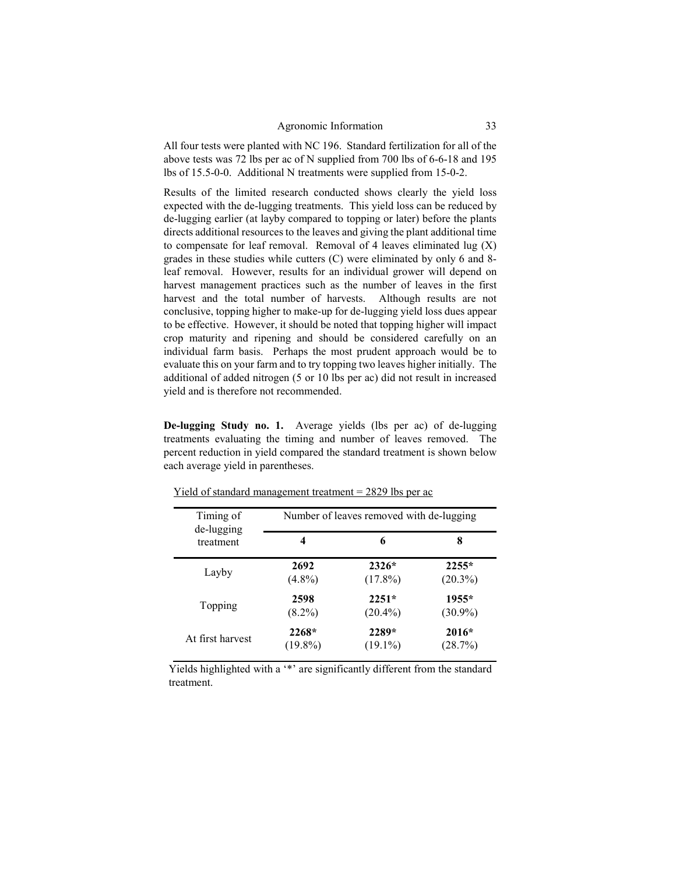All four tests were planted with NC 196. Standard fertilization for all of the above tests was 72 lbs per ac of N supplied from 700 lbs of 6-6-18 and 195 lbs of 15.5-0-0. Additional N treatments were supplied from 15-0-2.

Results of the limited research conducted shows clearly the yield loss expected with the de-lugging treatments. This yield loss can be reduced by de-lugging earlier (at layby compared to topping or later) before the plants directs additional resources to the leaves and giving the plant additional time to compensate for leaf removal. Removal of 4 leaves eliminated lug  $(X)$ grades in these studies while cutters (C) were eliminated by only 6 and 8 leaf removal. However, results for an individual grower will depend on harvest management practices such as the number of leaves in the first harvest and the total number of harvests. Although results are not conclusive, topping higher to make-up for de-lugging yield loss dues appear to be effective. However, it should be noted that topping higher will impact crop maturity and ripening and should be considered carefully on an individual farm basis. Perhaps the most prudent approach would be to evaluate this on your farm and to try topping two leaves higher initially. The additional of added nitrogen (5 or 10 lbs per ac) did not result in increased yield and is therefore not recommended.

**De-lugging Study no. 1.** Average yields (lbs per ac) of de-lugging treatments evaluating the timing and number of leaves removed. The percent reduction in yield compared the standard treatment is shown below each average yield in parentheses.

| Timing of<br>de-lugging | Number of leaves removed with de-lugging |            |            |
|-------------------------|------------------------------------------|------------|------------|
| treatment               | 4                                        | 6          | 8          |
| Layby                   | 2692                                     | $2326*$    | $2255*$    |
|                         | $(4.8\%)$                                | $(17.8\%)$ | $(20.3\%)$ |
| Topping                 | 2598                                     | $2251*$    | $1955*$    |
|                         | $(8.2\%)$                                | $(20.4\%)$ | $(30.9\%)$ |
| At first harvest        | $2268*$                                  | 2289*      | $2016*$    |
|                         | $(19.8\%)$                               | $(19.1\%)$ | (28.7%)    |

Yield of standard management treatment = 2829 lbs per ac

Yields highlighted with a '\*' are significantly different from the standard treatment.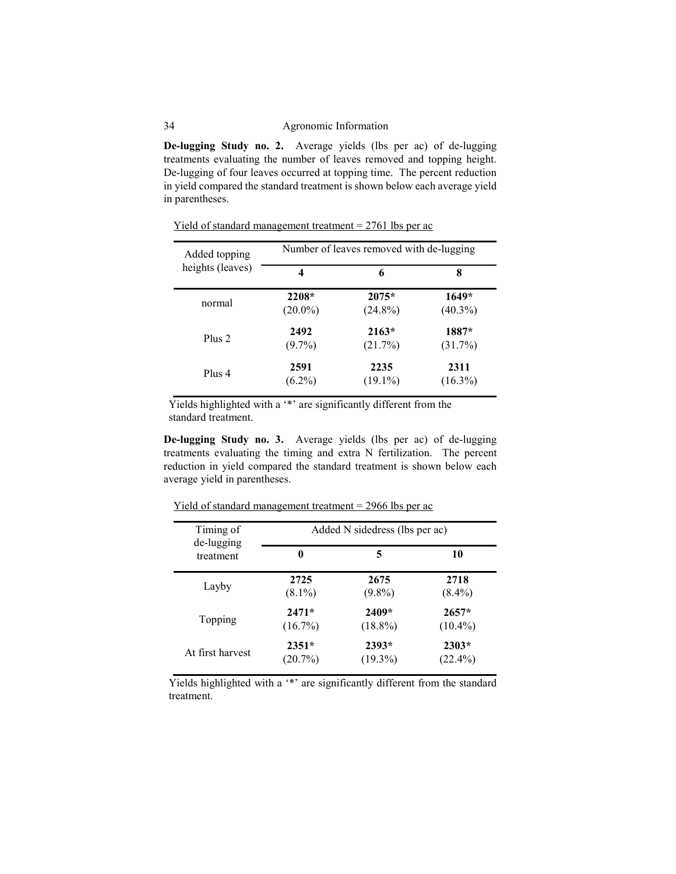**De-lugging Study no. 2.** Average yields (lbs per ac) of de-lugging treatments evaluating the number of leaves removed and topping height. De-lugging of four leaves occurred at topping time. The percent reduction in yield compared the standard treatment is shown below each average yield in parentheses.

| Added topping    | Number of leaves removed with de-lugging |            |            |
|------------------|------------------------------------------|------------|------------|
| heights (leaves) | 4                                        | 6          | 8          |
| normal           | 2208*                                    | $2075*$    | $1649*$    |
|                  | $(20.0\%)$                               | $(24.8\%)$ | $(40.3\%)$ |
| Plus 2           | 2492                                     | $2163*$    | 1887*      |
|                  | $(9.7\%)$                                | (21.7%)    | $(31.7\%)$ |
| Plus 4           | 2591                                     | 2235       | 2311       |
|                  | $(6.2\%)$                                | $(19.1\%)$ | $(16.3\%)$ |

Yield of standard management treatment  $= 2761$  lbs per ac

Yields highlighted with a '\*' are significantly different from the standard treatment.

**De-lugging Study no. 3.** Average yields (lbs per ac) of de-lugging treatments evaluating the timing and extra N fertilization. The percent reduction in yield compared the standard treatment is shown below each average yield in parentheses.

| Timing of<br>de-lugging | Added N sidedress (lbs per ac) |            |            |  |
|-------------------------|--------------------------------|------------|------------|--|
| treatment               | 0                              | 5          | 10         |  |
| Layby                   | 2725                           | 2675       | 2718       |  |
|                         | $(8.1\%)$                      | $(9.8\%)$  | $(8.4\%)$  |  |
| Topping                 | $2471*$                        | 2409*      | $2657*$    |  |
|                         | $(16.7\%)$                     | $(18.8\%)$ | $(10.4\%)$ |  |
| At first harvest        | $2351*$                        | $2393*$    | $2303*$    |  |
|                         | (20.7%)                        | $(19.3\%)$ | $(22.4\%)$ |  |

Yield of standard management treatment = 2966 lbs per ac

Yields highlighted with a '\*' are significantly different from the standard treatment.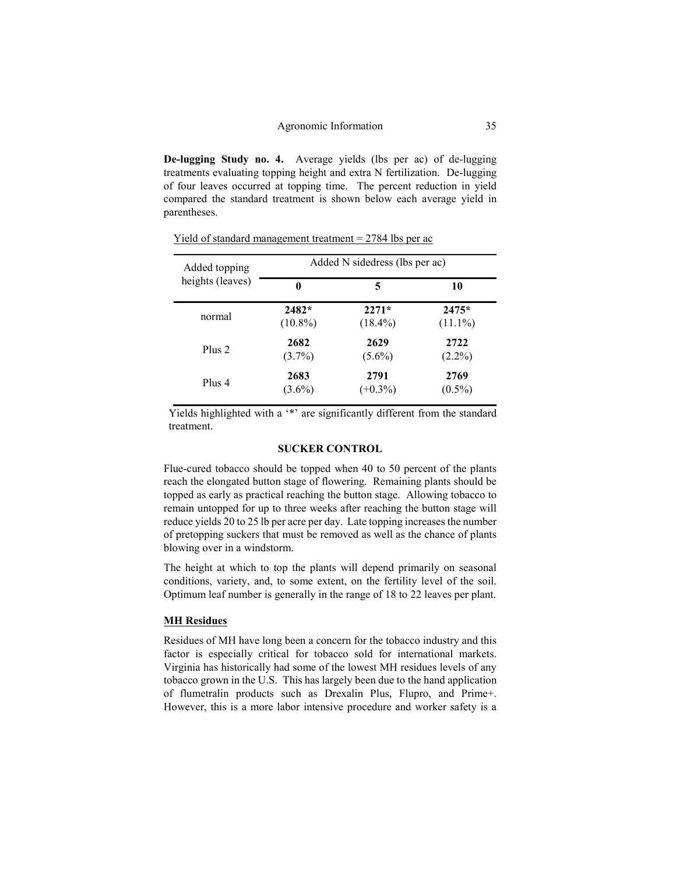**De-lugging Study no. 4.** Average yields (lbs per ac) of de-lugging treatments evaluating topping height and extra N fertilization. De-lugging of four leaves occurred at topping time. The percent reduction in yield compared the standard treatment is shown below each average yield in parentheses.

| Added topping    | Added N sidedress (lbs per ac) |            |            |
|------------------|--------------------------------|------------|------------|
| heights (leaves) | 0                              | 5          | 10         |
| normal           | $2482*$                        | $2271*$    | $2475*$    |
|                  | $(10.8\%)$                     | $(18.4\%)$ | $(11.1\%)$ |
| Plus 2           | 2682                           | 2629       | 2722       |
|                  | $(3.7\%)$                      | $(5.6\%)$  | $(2.2\%)$  |
| Plus 4           | 2683                           | 2791       | 2769       |
|                  | $(3.6\%)$                      | $(+0.3\%)$ | $(0.5\%)$  |

Yield of standard management treatment = 2784 lbs per ac

Yields highlighted with a '\*' are significantly different from the standard treatment.

### **SUCKER CONTROL**

Flue-cured tobacco should be topped when 40 to 50 percent of the plants reach the elongated button stage of flowering. Remaining plants should be topped as early as practical reaching the button stage. Allowing tobacco to remain untopped for up to three weeks after reaching the button stage will reduce yields 20 to 25 lb per acre per day. Late topping increases the number of pretopping suckers that must be removed as well as the chance of plants blowing over in a windstorm.

The height at which to top the plants will depend primarily on seasonal conditions, variety, and, to some extent, on the fertility level of the soil. Optimum leaf number is generally in the range of 18 to 22 leaves per plant.

### **MH Residues**

Residues of MH have long been a concern for the tobacco industry and this factor is especially critical for tobacco sold for international markets. Virginia has historically had some of the lowest MH residues levels of any tobacco grown in the U.S. This has largely been due to the hand application of flumetralin products such as Drexalin Plus, Flupro, and Prime+. However, this is a more labor intensive procedure and worker safety is a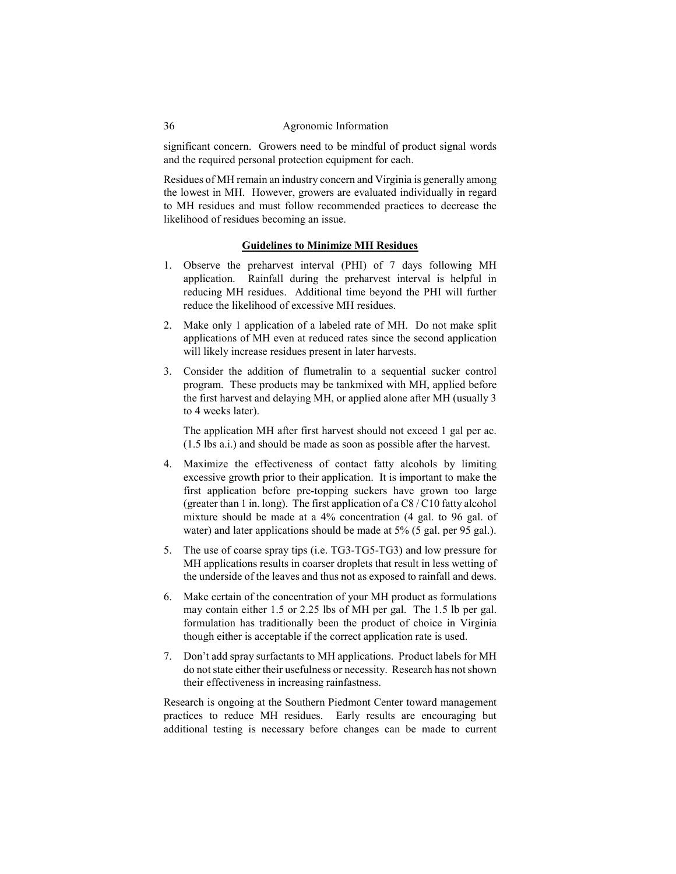significant concern. Growers need to be mindful of product signal words and the required personal protection equipment for each.

Residues of MH remain an industry concern and Virginia is generally among the lowest in MH. However, growers are evaluated individually in regard to MH residues and must follow recommended practices to decrease the likelihood of residues becoming an issue.

### **Guidelines to Minimize MH Residues**

- 1. Observe the preharvest interval (PHI) of 7 days following MH application. Rainfall during the preharvest interval is helpful in reducing MH residues. Additional time beyond the PHI will further reduce the likelihood of excessive MH residues.
- 2. Make only 1 application of a labeled rate of MH. Do not make split applications of MH even at reduced rates since the second application will likely increase residues present in later harvests.
- 3. Consider the addition of flumetralin to a sequential sucker control program. These products may be tankmixed with MH, applied before the first harvest and delaying MH, or applied alone after MH (usually 3 to 4 weeks later).

The application MH after first harvest should not exceed 1 gal per ac. (1.5 lbs a.i.) and should be made as soon as possible after the harvest.

- 4. Maximize the effectiveness of contact fatty alcohols by limiting excessive growth prior to their application. It is important to make the first application before pre-topping suckers have grown too large (greater than 1 in. long). The first application of a C8 / C10 fatty alcohol mixture should be made at a 4% concentration (4 gal. to 96 gal. of water) and later applications should be made at 5% (5 gal. per 95 gal.).
- 5. The use of coarse spray tips (i.e. TG3-TG5-TG3) and low pressure for MH applications results in coarser droplets that result in less wetting of the underside of the leaves and thus not as exposed to rainfall and dews.
- 6. Make certain of the concentration of your MH product as formulations may contain either 1.5 or 2.25 lbs of MH per gal. The 1.5 lb per gal. formulation has traditionally been the product of choice in Virginia though either is acceptable if the correct application rate is used.
- 7. Don't add spray surfactants to MH applications. Product labels for MH do not state either their usefulness or necessity. Research has not shown their effectiveness in increasing rainfastness.

Research is ongoing at the Southern Piedmont Center toward management practices to reduce MH residues. Early results are encouraging but additional testing is necessary before changes can be made to current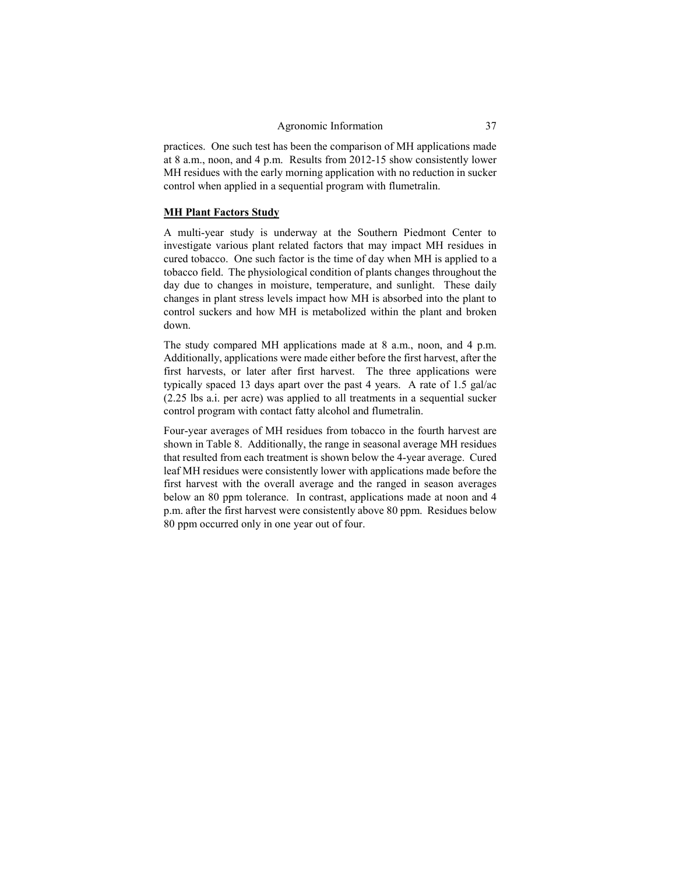practices. One such test has been the comparison of MH applications made at 8 a.m., noon, and 4 p.m. Results from 2012-15 show consistently lower MH residues with the early morning application with no reduction in sucker control when applied in a sequential program with flumetralin.

### **MH Plant Factors Study**

A multi-year study is underway at the Southern Piedmont Center to investigate various plant related factors that may impact MH residues in cured tobacco. One such factor is the time of day when MH is applied to a tobacco field. The physiological condition of plants changes throughout the day due to changes in moisture, temperature, and sunlight. These daily changes in plant stress levels impact how MH is absorbed into the plant to control suckers and how MH is metabolized within the plant and broken down.

The study compared MH applications made at 8 a.m., noon, and 4 p.m. Additionally, applications were made either before the first harvest, after the first harvests, or later after first harvest. The three applications were typically spaced 13 days apart over the past 4 years. A rate of 1.5 gal/ac (2.25 lbs a.i. per acre) was applied to all treatments in a sequential sucker control program with contact fatty alcohol and flumetralin.

Four-year averages of MH residues from tobacco in the fourth harvest are shown in Table 8. Additionally, the range in seasonal average MH residues that resulted from each treatment is shown below the 4-year average. Cured leaf MH residues were consistently lower with applications made before the first harvest with the overall average and the ranged in season averages below an 80 ppm tolerance. In contrast, applications made at noon and 4 p.m. after the first harvest were consistently above 80 ppm. Residues below 80 ppm occurred only in one year out of four.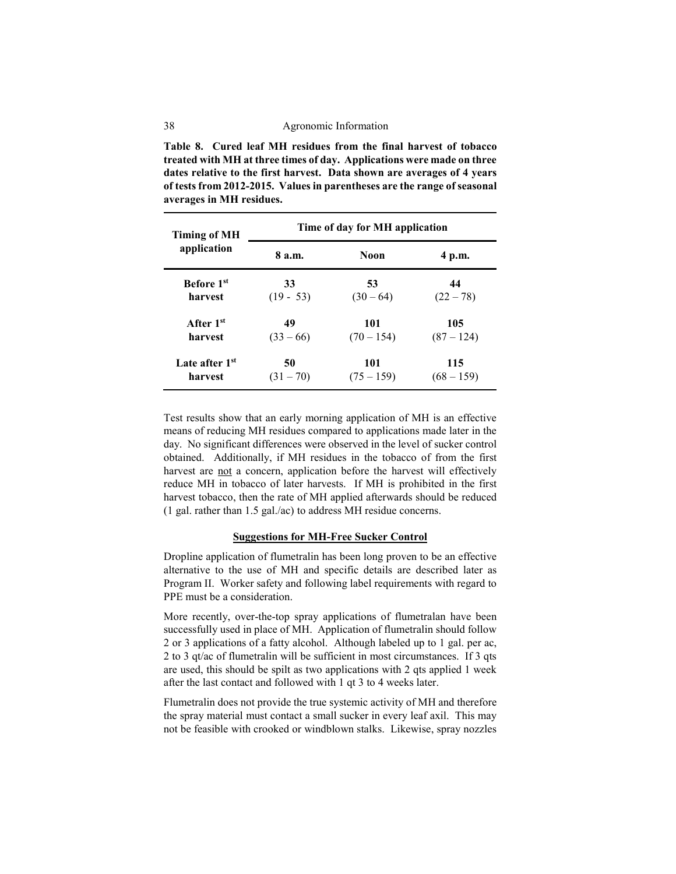**Table 8. Cured leaf MH residues from the final harvest of tobacco treated with MH at three times of day. Applications were made on three dates relative to the first harvest. Data shown are averages of 4 years of tests from 2012-2015. Values in parentheses are the range of seasonal averages in MH residues.**

| <b>Timing of MH</b>        | Time of day for MH application |              |              |  |
|----------------------------|--------------------------------|--------------|--------------|--|
| application                | 8 a.m.                         | Noon         | 4 p.m.       |  |
| <b>Before</b> 1st          | 33                             | 53           | 44           |  |
| harvest                    | $(19 - 53)$                    | $(30-64)$    | $(22 - 78)$  |  |
| After 1 <sup>st</sup>      | 49                             | 101          | 105          |  |
| harvest                    | $(33 - 66)$                    | $(70 - 154)$ | $(87 - 124)$ |  |
| Late after 1 <sup>st</sup> | 50                             | 101          | 115          |  |
| harvest                    | $(31 - 70)$                    | $(75 - 159)$ | $(68 - 159)$ |  |

Test results show that an early morning application of MH is an effective means of reducing MH residues compared to applications made later in the day. No significant differences were observed in the level of sucker control obtained. Additionally, if MH residues in the tobacco of from the first harvest are not a concern, application before the harvest will effectively reduce MH in tobacco of later harvests. If MH is prohibited in the first harvest tobacco, then the rate of MH applied afterwards should be reduced (1 gal. rather than 1.5 gal./ac) to address MH residue concerns.

### **Suggestions for MH-Free Sucker Control**

Dropline application of flumetralin has been long proven to be an effective alternative to the use of MH and specific details are described later as Program II. Worker safety and following label requirements with regard to PPE must be a consideration.

More recently, over-the-top spray applications of flumetralan have been successfully used in place of MH. Application of flumetralin should follow 2 or 3 applications of a fatty alcohol. Although labeled up to 1 gal. per ac, 2 to 3 qt/ac of flumetralin will be sufficient in most circumstances. If 3 qts are used, this should be spilt as two applications with 2 qts applied 1 week after the last contact and followed with 1 qt 3 to 4 weeks later.

Flumetralin does not provide the true systemic activity of MH and therefore the spray material must contact a small sucker in every leaf axil. This may not be feasible with crooked or windblown stalks. Likewise, spray nozzles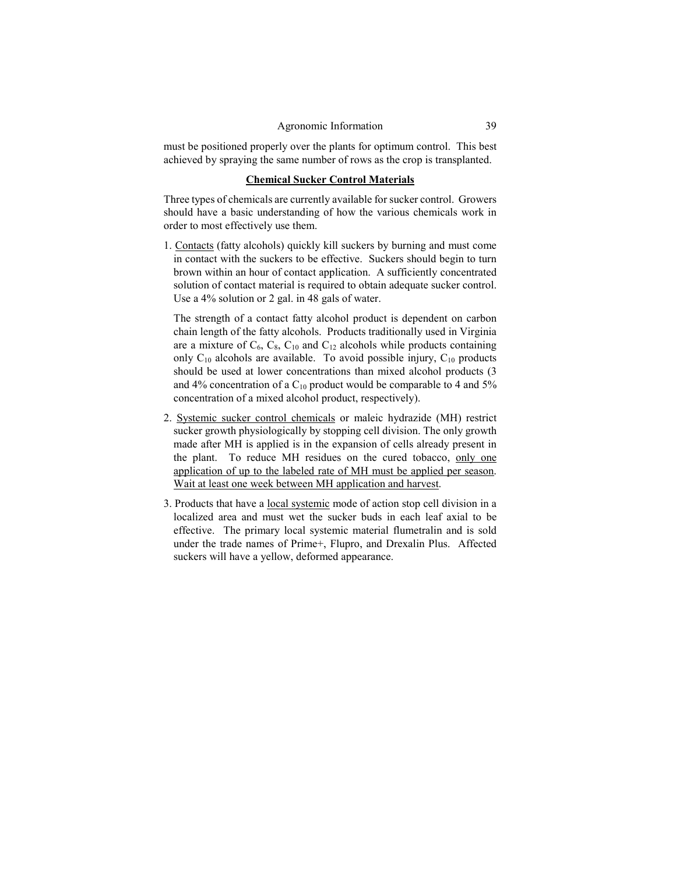must be positioned properly over the plants for optimum control. This best achieved by spraying the same number of rows as the crop is transplanted.

### **Chemical Sucker Control Materials**

Three types of chemicals are currently available for sucker control. Growers should have a basic understanding of how the various chemicals work in order to most effectively use them.

1. Contacts (fatty alcohols) quickly kill suckers by burning and must come in contact with the suckers to be effective. Suckers should begin to turn brown within an hour of contact application. A sufficiently concentrated solution of contact material is required to obtain adequate sucker control. Use a 4% solution or 2 gal. in 48 gals of water.

The strength of a contact fatty alcohol product is dependent on carbon chain length of the fatty alcohols. Products traditionally used in Virginia are a mixture of  $C_6$ ,  $C_8$ ,  $C_{10}$  and  $C_{12}$  alcohols while products containing only  $C_{10}$  alcohols are available. To avoid possible injury,  $C_{10}$  products should be used at lower concentrations than mixed alcohol products (3 and 4% concentration of a  $C_{10}$  product would be comparable to 4 and 5% concentration of a mixed alcohol product, respectively).

- 2. Systemic sucker control chemicals or maleic hydrazide (MH) restrict sucker growth physiologically by stopping cell division. The only growth made after MH is applied is in the expansion of cells already present in the plant. To reduce MH residues on the cured tobacco, only one application of up to the labeled rate of MH must be applied per season. Wait at least one week between MH application and harvest.
- 3. Products that have a local systemic mode of action stop cell division in a localized area and must wet the sucker buds in each leaf axial to be effective. The primary local systemic material flumetralin and is sold under the trade names of Prime+, Flupro, and Drexalin Plus. Affected suckers will have a yellow, deformed appearance.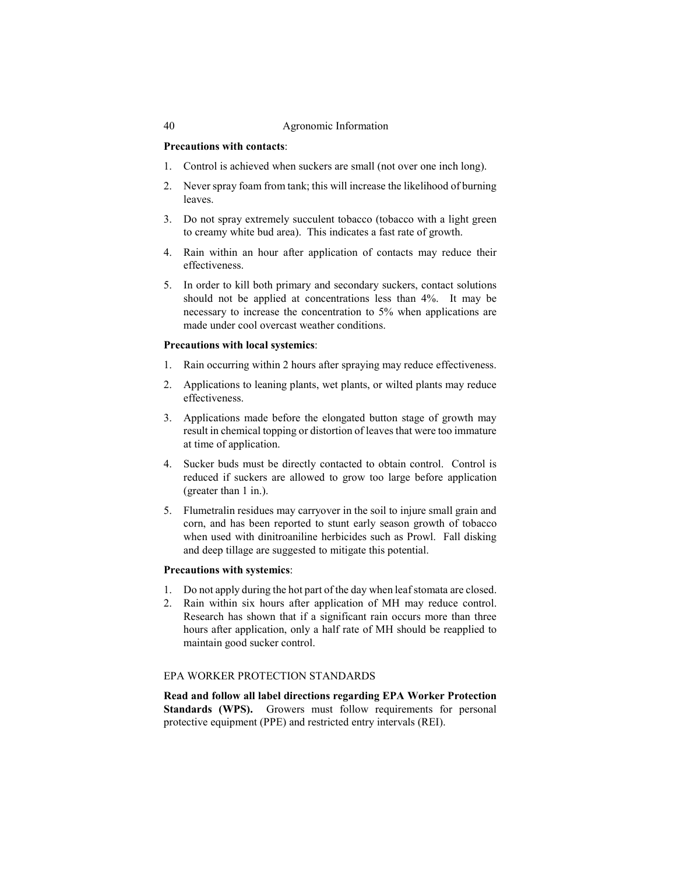### **Precautions with contacts**:

- 1. Control is achieved when suckers are small (not over one inch long).
- 2. Never spray foam from tank; this will increase the likelihood of burning leaves.
- 3. Do not spray extremely succulent tobacco (tobacco with a light green to creamy white bud area). This indicates a fast rate of growth.
- 4. Rain within an hour after application of contacts may reduce their effectiveness.
- 5. In order to kill both primary and secondary suckers, contact solutions should not be applied at concentrations less than 4%. It may be necessary to increase the concentration to 5% when applications are made under cool overcast weather conditions.

### **Precautions with local systemics**:

- 1. Rain occurring within 2 hours after spraying may reduce effectiveness.
- 2. Applications to leaning plants, wet plants, or wilted plants may reduce effectiveness.
- 3. Applications made before the elongated button stage of growth may result in chemical topping or distortion of leaves that were too immature at time of application.
- 4. Sucker buds must be directly contacted to obtain control. Control is reduced if suckers are allowed to grow too large before application (greater than 1 in.).
- 5. Flumetralin residues may carryover in the soil to injure small grain and corn, and has been reported to stunt early season growth of tobacco when used with dinitroaniline herbicides such as Prowl. Fall disking and deep tillage are suggested to mitigate this potential.

## **Precautions with systemics**:

- 1. Do not apply during the hot part of the day when leaf stomata are closed.
- 2. Rain within six hours after application of MH may reduce control. Research has shown that if a significant rain occurs more than three hours after application, only a half rate of MH should be reapplied to maintain good sucker control.

### EPA WORKER PROTECTION STANDARDS

**Read and follow all label directions regarding EPA Worker Protection**  Standards (WPS). Growers must follow requirements for personal protective equipment (PPE) and restricted entry intervals (REI).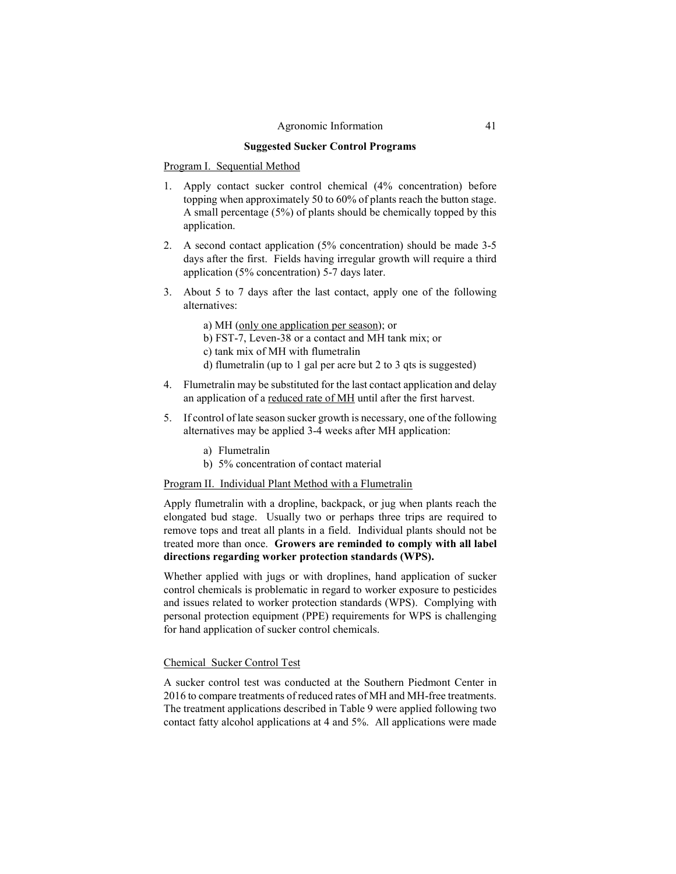### **Suggested Sucker Control Programs**

### Program I. Sequential Method

- 1. Apply contact sucker control chemical (4% concentration) before topping when approximately 50 to 60% of plants reach the button stage. A small percentage (5%) of plants should be chemically topped by this application.
- 2. A second contact application (5% concentration) should be made 3-5 days after the first. Fields having irregular growth will require a third application (5% concentration) 5-7 days later.
- 3. About 5 to 7 days after the last contact, apply one of the following alternatives:

a) MH (only one application per season); or

- b) FST-7, Leven-38 or a contact and MH tank mix; or
- c) tank mix of MH with flumetralin
- d) flumetralin (up to 1 gal per acre but 2 to 3 qts is suggested)
- 4. Flumetralin may be substituted for the last contact application and delay an application of a reduced rate of MH until after the first harvest.
- 5. If control of late season sucker growth is necessary, one of the following alternatives may be applied 3-4 weeks after MH application:
	- a) Flumetralin
	- b) 5% concentration of contact material

### Program II. Individual Plant Method with a Flumetralin

Apply flumetralin with a dropline, backpack, or jug when plants reach the elongated bud stage. Usually two or perhaps three trips are required to remove tops and treat all plants in a field. Individual plants should not be treated more than once. **Growers are reminded to comply with all label directions regarding worker protection standards (WPS).**

Whether applied with jugs or with droplines, hand application of sucker control chemicals is problematic in regard to worker exposure to pesticides and issues related to worker protection standards (WPS). Complying with personal protection equipment (PPE) requirements for WPS is challenging for hand application of sucker control chemicals.

### Chemical Sucker Control Test

A sucker control test was conducted at the Southern Piedmont Center in 2016 to compare treatments of reduced rates of MH and MH-free treatments. The treatment applications described in Table 9 were applied following two contact fatty alcohol applications at 4 and 5%. All applications were made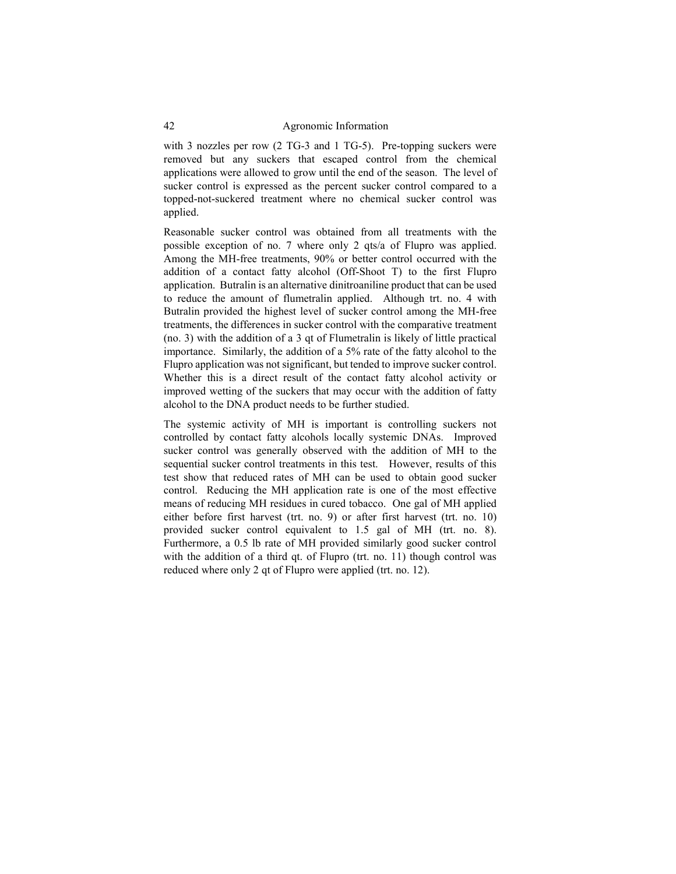with 3 nozzles per row (2 TG-3 and 1 TG-5). Pre-topping suckers were removed but any suckers that escaped control from the chemical applications were allowed to grow until the end of the season. The level of sucker control is expressed as the percent sucker control compared to a topped-not-suckered treatment where no chemical sucker control was applied.

Reasonable sucker control was obtained from all treatments with the possible exception of no. 7 where only 2 qts/a of Flupro was applied. Among the MH-free treatments, 90% or better control occurred with the addition of a contact fatty alcohol (Off-Shoot T) to the first Flupro application. Butralin is an alternative dinitroaniline product that can be used to reduce the amount of flumetralin applied. Although trt. no. 4 with Butralin provided the highest level of sucker control among the MH-free treatments, the differences in sucker control with the comparative treatment (no. 3) with the addition of a 3 qt of Flumetralin is likely of little practical importance. Similarly, the addition of a 5% rate of the fatty alcohol to the Flupro application was not significant, but tended to improve sucker control. Whether this is a direct result of the contact fatty alcohol activity or improved wetting of the suckers that may occur with the addition of fatty alcohol to the DNA product needs to be further studied.

The systemic activity of MH is important is controlling suckers not controlled by contact fatty alcohols locally systemic DNAs. Improved sucker control was generally observed with the addition of MH to the sequential sucker control treatments in this test. However, results of this test show that reduced rates of MH can be used to obtain good sucker control. Reducing the MH application rate is one of the most effective means of reducing MH residues in cured tobacco. One gal of MH applied either before first harvest (trt. no. 9) or after first harvest (trt. no. 10) provided sucker control equivalent to 1.5 gal of MH (trt. no. 8). Furthermore, a 0.5 lb rate of MH provided similarly good sucker control with the addition of a third qt. of Flupro (trt. no. 11) though control was reduced where only 2 qt of Flupro were applied (trt. no. 12).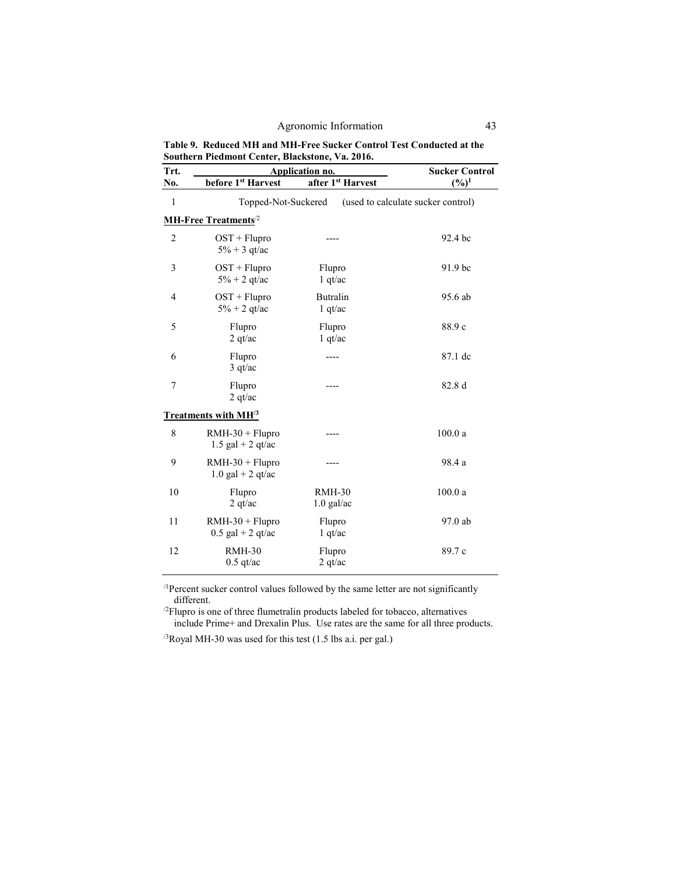**Table 9. Reduced MH and MH-Free Sucker Control Test Conducted at the Southern Piedmont Center, Blackstone, Va. 2016.**

| Trt.           | <b>Application no.</b>                   |                          | <b>Sucker Control</b>              |
|----------------|------------------------------------------|--------------------------|------------------------------------|
| No.            | before 1 <sup>st</sup> Harvest           | after 1st Harvest        | $(\%)^1$                           |
| $\,1\,$        | Topped-Not-Suckered                      |                          | (used to calculate sucker control) |
|                | <b>MH-Free Treatments</b> <sup>2</sup>   |                          |                                    |
| $\overline{2}$ | $OST + Flupro$<br>$5\% + 3$ qt/ac        |                          | 92.4 bc                            |
| 3              | $OST + Flupro$<br>$5% + 2$ qt/ac         | Flupro<br>$1$ qt/ac      | 91.9 bc                            |
| 4              | $OST + Flupro$<br>$5\% + 2$ qt/ac        | Butralin<br>$1$ qt/ac    | 95.6 ab                            |
| 5              | Flupro<br>2 qt/ac                        | Flupro<br>1 qt/ac        | 88.9c                              |
| 6              | Flupro<br>3 qt/ac                        |                          | 87.1 dc                            |
| 7              | Flupro<br>2 qt/ac                        |                          | 82.8 d                             |
|                | <b>Treatments with MH<sup>3</sup></b>    |                          |                                    |
| 8              | $RMH-30 + Flupro$<br>$1.5$ gal + 2 qt/ac | .                        | 100.0a                             |
| 9              | $RMH-30 + Flupro$<br>$1.0$ gal + 2 qt/ac |                          | 98.4 a                             |
| 10             | Flupro<br>2 qt/ac                        | $RMH-30$<br>$1.0$ gal/ac | 100.0a                             |
| 11             | $RMH-30 + Flupro$<br>$0.5$ gal + 2 qt/ac | Flupro<br>1 qt/ac        | 97.0 ab                            |
| 12             | <b>RMH-30</b><br>$0.5$ qt/ac             | Flupro<br>2 qt/ac        | 89.7 c                             |

/1Percent sucker control values followed by the same letter are not significantly different.

 $^{2}$ Flupro is one of three flumetralin products labeled for tobacco, alternatives include Prime+ and Drexalin Plus. Use rates are the same for all three products.

/3Royal MH-30 was used for this test (1.5 lbs a.i. per gal.)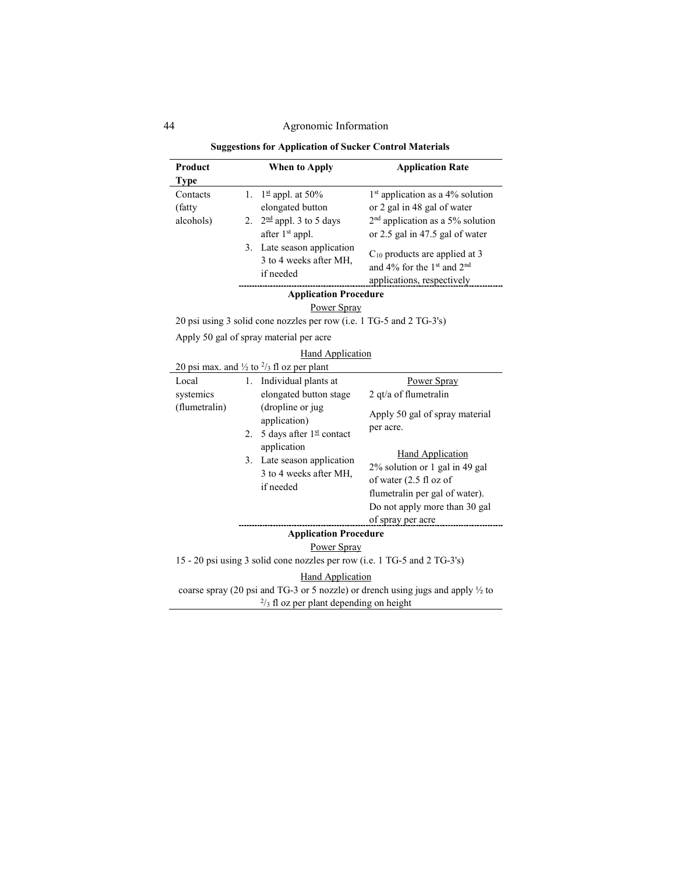| Product<br><b>Type</b>              | When to Apply                                                                                                                    | <b>Application Rate</b>                                                                                                                                                     |
|-------------------------------------|----------------------------------------------------------------------------------------------------------------------------------|-----------------------------------------------------------------------------------------------------------------------------------------------------------------------------|
| Contacts<br>(fatty)<br>alcohols)    | $1st$ appl. at 50%<br>1.<br>elongated button<br>2. $2^{\text{nd}}$ appl. 3 to 5 days                                             | 1 <sup>st</sup> application as a 4% solution<br>or 2 gal in 48 gal of water<br>$2nd$ application as a 5% solution                                                           |
|                                     | after 1 <sup>st</sup> appl.<br>3. Late season application<br>3 to 4 weeks after MH,<br>if needed<br><b>Application Procedure</b> | or 2.5 gal in 47.5 gal of water<br>$C_{10}$ products are applied at 3<br>and 4% for the 1 <sup>st</sup> and 2 <sup>nd</sup><br>applications, respectively                   |
|                                     | Power Spray                                                                                                                      |                                                                                                                                                                             |
|                                     | 20 psi using 3 solid cone nozzles per row (i.e. 1 TG-5 and 2 TG-3's)                                                             |                                                                                                                                                                             |
|                                     | Apply 50 gal of spray material per acre                                                                                          |                                                                                                                                                                             |
|                                     | <b>Hand Application</b>                                                                                                          |                                                                                                                                                                             |
|                                     | 20 psi max. and $\frac{1}{2}$ to $\frac{2}{3}$ fl oz per plant                                                                   |                                                                                                                                                                             |
| Local<br>systemics<br>(flumetralin) | 1. Individual plants at<br>elongated button stage<br>(dropline or jug<br>application)<br>5 days after 1st contact<br>2.          | Power Spray<br>2 qt/a of flumetralin<br>Apply 50 gal of spray material<br>per acre.                                                                                         |
|                                     | application<br>3. Late season application<br>3 to 4 weeks after MH,<br>if needed                                                 | <b>Hand Application</b><br>2% solution or 1 gal in 49 gal<br>of water (2.5 fl oz of<br>flumetralin per gal of water).<br>Do not apply more than 30 gal<br>of spray per acre |
|                                     | <b>Application Procedure</b>                                                                                                     |                                                                                                                                                                             |
|                                     | Power Spray                                                                                                                      |                                                                                                                                                                             |
|                                     |                                                                                                                                  | 15 - 20 psi using 3 solid cone nozzles per row (i.e. 1 TG-5 and 2 TG-3's)                                                                                                   |
|                                     | <b>Hand Application</b><br>$\frac{2}{3}$ fl oz per plant depending on height                                                     | coarse spray (20 psi and TG-3 or 5 nozzle) or drench using jugs and apply $\frac{1}{2}$ to                                                                                  |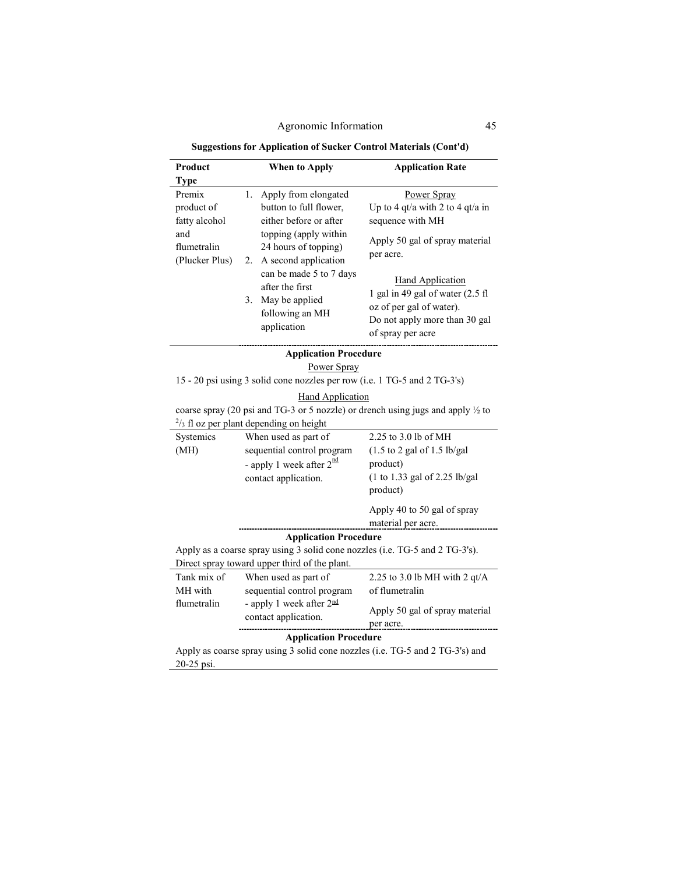**Suggestions for Application of Sucker Control Materials (Cont'd)**

| Product                                                                                     | When to Apply                                                                                                                                                                            | <b>Application Rate</b>                                                                                                                       |  |  |
|---------------------------------------------------------------------------------------------|------------------------------------------------------------------------------------------------------------------------------------------------------------------------------------------|-----------------------------------------------------------------------------------------------------------------------------------------------|--|--|
| <b>Type</b>                                                                                 |                                                                                                                                                                                          |                                                                                                                                               |  |  |
| Premix<br>product of<br>fatty alcohol<br>and<br>flumetralin<br>(Plucker Plus)               | 1.<br>Apply from elongated<br>button to full flower,<br>either before or after<br>topping (apply within<br>24 hours of topping)<br>A second application<br>2.<br>can be made 5 to 7 days | Power Spray<br>Up to 4 qt/a with 2 to 4 qt/a in<br>sequence with MH<br>Apply 50 gal of spray material<br>per acre.                            |  |  |
|                                                                                             | after the first<br>3.<br>May be applied<br>following an MH<br>application                                                                                                                | <b>Hand Application</b><br>1 gal in 49 gal of water (2.5 fl<br>oz of per gal of water).<br>Do not apply more than 30 gal<br>of spray per acre |  |  |
| <b>Application Procedure</b>                                                                |                                                                                                                                                                                          |                                                                                                                                               |  |  |
| Power Spray                                                                                 |                                                                                                                                                                                          |                                                                                                                                               |  |  |
| 15 - 20 psi using 3 solid cone nozzles per row (i.e. 1 TG-5 and 2 TG-3's)                   |                                                                                                                                                                                          |                                                                                                                                               |  |  |
| <b>Hand Application</b>                                                                     |                                                                                                                                                                                          |                                                                                                                                               |  |  |
|                                                                                             |                                                                                                                                                                                          | coarse spray (20 psi and TG-3 or 5 nozzle) or drench using jugs and apply 1/2 to                                                              |  |  |
|                                                                                             | $\frac{2}{3}$ fl oz per plant depending on height                                                                                                                                        |                                                                                                                                               |  |  |
| Systemics                                                                                   | When used as part of                                                                                                                                                                     | 2.25 to 3.0 lb of MH                                                                                                                          |  |  |
| (MH)                                                                                        | sequential control program                                                                                                                                                               | $(1.5 \text{ to } 2 \text{ gal of } 1.5 \text{ lb/gal})$                                                                                      |  |  |
|                                                                                             | - apply 1 week after $2^{\frac{nd}{m}}$                                                                                                                                                  | product)                                                                                                                                      |  |  |
|                                                                                             | contact application.                                                                                                                                                                     | $(1 \text{ to } 1.33 \text{ gal of } 2.25 \text{ lb/gal})$                                                                                    |  |  |
|                                                                                             |                                                                                                                                                                                          | product)                                                                                                                                      |  |  |
|                                                                                             |                                                                                                                                                                                          | Apply 40 to 50 gal of spray<br>material per acre.                                                                                             |  |  |
| <b>Application Procedure</b>                                                                |                                                                                                                                                                                          |                                                                                                                                               |  |  |
| Apply as a coarse spray using 3 solid cone nozzles (i.e. TG-5 and 2 TG-3's).                |                                                                                                                                                                                          |                                                                                                                                               |  |  |
|                                                                                             | Direct spray toward upper third of the plant.                                                                                                                                            |                                                                                                                                               |  |  |
| Tank mix of                                                                                 | When used as part of                                                                                                                                                                     | 2.25 to 3.0 lb MH with 2 $qt/A$                                                                                                               |  |  |
| MH with                                                                                     | sequential control program                                                                                                                                                               | of flumetralin                                                                                                                                |  |  |
| flumetralin                                                                                 | - apply 1 week after 2nd<br>contact application.                                                                                                                                         | Apply 50 gal of spray material<br>per acre.                                                                                                   |  |  |
| <b>Application Procedure</b>                                                                |                                                                                                                                                                                          |                                                                                                                                               |  |  |
| Apply as coarse spray using 3 solid cone nozzles (i.e. TG-5 and 2 TG-3's) and<br>20-25 psi. |                                                                                                                                                                                          |                                                                                                                                               |  |  |